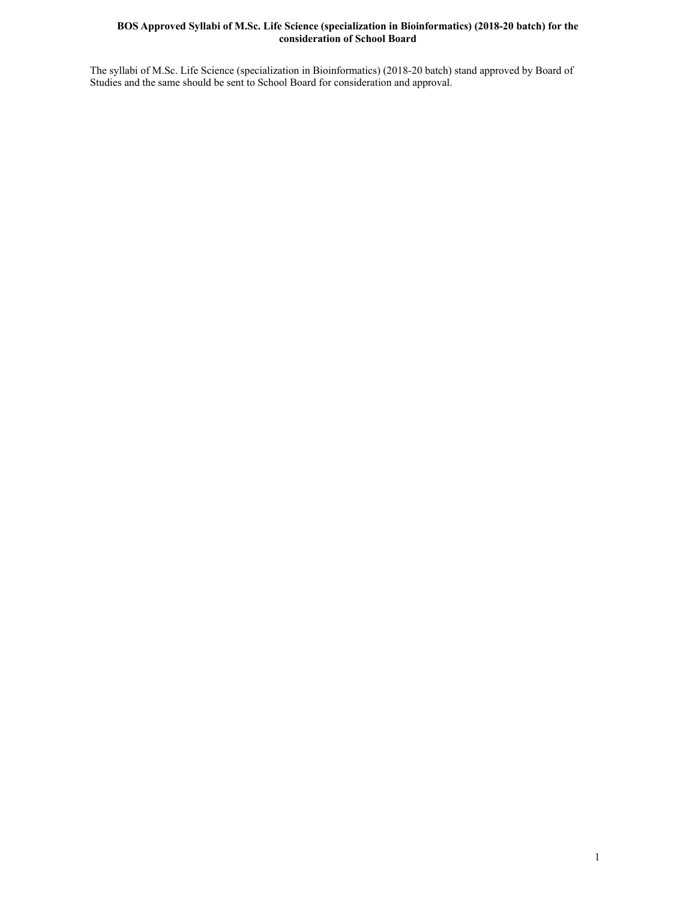### **BOS Approved Syllabi of M.Sc. Life Science (specialization in Bioinformatics) (2018-20 batch) for the consideration of School Board**

The syllabi of M.Sc. Life Science (specialization in Bioinformatics) (2018-20 batch) stand approved by Board of Studies and the same should be sent to School Board for consideration and approval.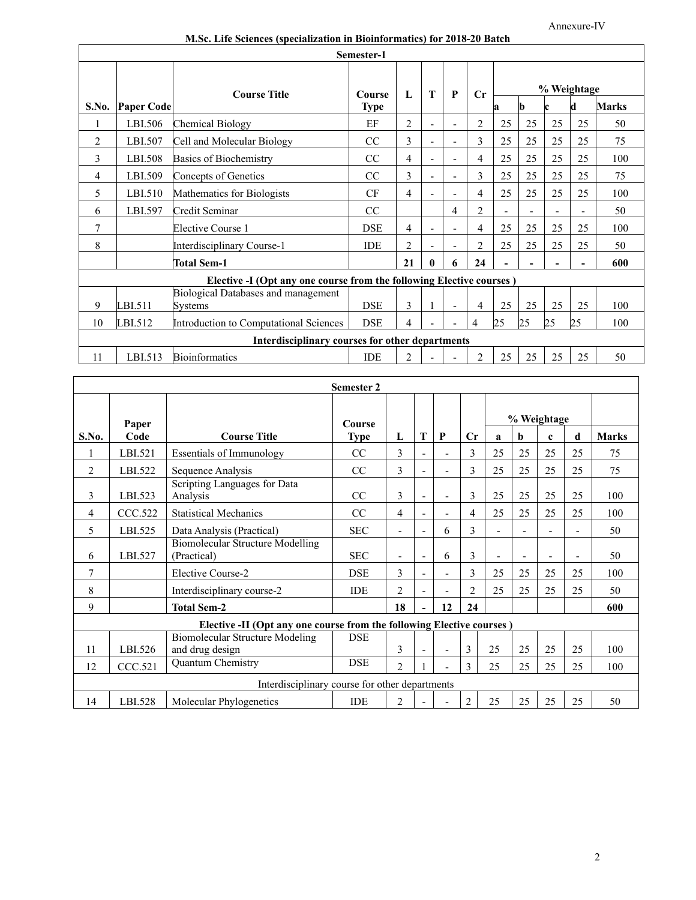|  | M.Sc. Life Sciences (specialization in Bioinformatics) for 2018-20 Batch |  |
|--|--------------------------------------------------------------------------|--|
|--|--------------------------------------------------------------------------|--|

|       |                                                 |                                                                      | Semester-1  |                |          |   |                |                |    |                          |    |              |  |
|-------|-------------------------------------------------|----------------------------------------------------------------------|-------------|----------------|----------|---|----------------|----------------|----|--------------------------|----|--------------|--|
|       |                                                 | <b>Course Title</b>                                                  | Course      | L              | T        | P | $C_{r}$        |                |    | % Weightage              |    |              |  |
| S.No. | <b>Paper Code</b>                               |                                                                      | <b>Type</b> |                |          |   |                | a              | b  | c                        | d  | <b>Marks</b> |  |
|       | LBI.506                                         | <b>Chemical Biology</b>                                              | EF          | $\overline{2}$ |          |   | $\overline{2}$ | 25             | 25 | 25                       | 25 | 50           |  |
| 2     | LBI.507                                         | Cell and Molecular Biology                                           | CC          | 3              |          |   | 3              | 25             | 25 | 25                       | 25 | 75           |  |
| 3     | LBI.508                                         | <b>Basics of Biochemistry</b>                                        | CC          | 4              |          |   | 4              | 25             | 25 | 25                       | 25 | 100          |  |
| 4     | LBI.509                                         | Concepts of Genetics                                                 | CC          | 3              |          |   | 3              | 25             | 25 | 25                       | 25 | 75           |  |
| 5     | LBI.510                                         | Mathematics for Biologists                                           | CF          | 4              |          |   | 4              | 25             | 25 | 25                       | 25 | 100          |  |
| 6     | LBI.597                                         | Credit Seminar                                                       | CC          |                |          | 4 | $\overline{2}$ | $\overline{a}$ |    | $\overline{\phantom{0}}$ | -  | 50           |  |
| 7     |                                                 | <b>Elective Course 1</b>                                             | <b>DSE</b>  | 4              |          |   | $\overline{4}$ | 25             | 25 | 25                       | 25 | 100          |  |
| 8     |                                                 | Interdisciplinary Course-1                                           | <b>IDE</b>  | $\overline{c}$ |          |   | $\overline{2}$ | 25             | 25 | 25                       | 25 | 50           |  |
|       |                                                 | <b>Total Sem-1</b>                                                   |             | 21             | $\bf{0}$ | 6 | 24             | ۰              |    |                          |    | 600          |  |
|       |                                                 | Elective -I (Opt any one course from the following Elective courses) |             |                |          |   |                |                |    |                          |    |              |  |
| 9     | LBI.511                                         | <b>Biological Databases and management</b><br>Systems                | <b>DSE</b>  | 3              |          |   | 4              | 25             | 25 | 25                       | 25 | 100          |  |
| 10    | LBI.512                                         | Introduction to Computational Sciences                               | <b>DSE</b>  | 4              |          |   | 4              | 25             | 25 | 25                       | 25 | 100          |  |
|       | Interdisciplinary courses for other departments |                                                                      |             |                |          |   |                |                |    |                          |    |              |  |
| 11    | LBI.513                                         | <b>Bioinformatics</b>                                                | <b>IDE</b>  | 2              |          |   | $\mathfrak{D}$ | 25             | 25 | 25                       | 25 | 50           |  |

|                                                |         |                                                                       | <b>Semester 2</b> |                |                          |                          |                |                |    |             |    |              |
|------------------------------------------------|---------|-----------------------------------------------------------------------|-------------------|----------------|--------------------------|--------------------------|----------------|----------------|----|-------------|----|--------------|
|                                                | Paper   |                                                                       | Course            |                |                          |                          |                |                |    | % Weightage |    |              |
| S.No.                                          | Code    | <b>Course Title</b>                                                   | <b>Type</b>       | L              | T                        | P                        | Cr             | a              | b  | c           | d  | <b>Marks</b> |
|                                                | LBI.521 | <b>Essentials of Immunology</b>                                       | CC                | 3              |                          |                          | 3              | 25             | 25 | 25          | 25 | 75           |
| $\overline{c}$                                 | LBI.522 | Sequence Analysis                                                     | CC                | 3              | $\overline{\phantom{a}}$ |                          | $\mathcal{E}$  | 25             | 25 | 25          | 25 | 75           |
| 3                                              | LBI.523 | Scripting Languages for Data<br>Analysis                              | CC                | 3              | L,                       | $\overline{\phantom{a}}$ | 3              | 25             | 25 | 25          | 25 | 100          |
| 4                                              | CCC.522 | <b>Statistical Mechanics</b>                                          | CC                | 4              | $\blacksquare$           | -                        | $\overline{4}$ | 25             | 25 | 25          | 25 | 100          |
| 5                                              | LBI.525 | Data Analysis (Practical)                                             | <b>SEC</b>        | $\blacksquare$ | $\overline{a}$           | 6                        | 3              | $\blacksquare$ |    |             |    | 50           |
| 6                                              | LBI.527 | <b>Biomolecular Structure Modelling</b><br>(Practical)                | <b>SEC</b>        |                | ٠                        | 6                        | 3              |                |    |             |    | 50           |
| 7                                              |         | Elective Course-2                                                     | <b>DSE</b>        | 3              | $\blacksquare$           | $\overline{\phantom{0}}$ | $\mathcal{E}$  | 25             | 25 | 25          | 25 | 100          |
| 8                                              |         | Interdisciplinary course-2                                            | <b>IDE</b>        | $\overline{2}$ | $\overline{\phantom{a}}$ |                          | $\overline{c}$ | 25             | 25 | 25          | 25 | 50           |
| 9                                              |         | <b>Total Sem-2</b>                                                    |                   | 18             |                          | 12                       | 24             |                |    |             |    | 600          |
|                                                |         | Elective -II (Opt any one course from the following Elective courses) |                   |                |                          |                          |                |                |    |             |    |              |
| 11                                             | LBI.526 | <b>Biomolecular Structure Modeling</b><br>and drug design             | <b>DSE</b>        | 3              |                          |                          | 3              | 25             | 25 | 25          | 25 | 100          |
| 12                                             | CCC.521 | Quantum Chemistry                                                     | <b>DSE</b>        | $\overline{2}$ |                          |                          | 3              | 25             | 25 | 25          | 25 | 100          |
| Interdisciplinary course for other departments |         |                                                                       |                   |                |                          |                          |                |                |    |             |    |              |
| 14                                             | LBI.528 | Molecular Phylogenetics                                               | <b>IDE</b>        | $\mathfrak{D}$ |                          |                          | $\mathfrak{D}$ | 25             | 25 | 25          | 25 | 50           |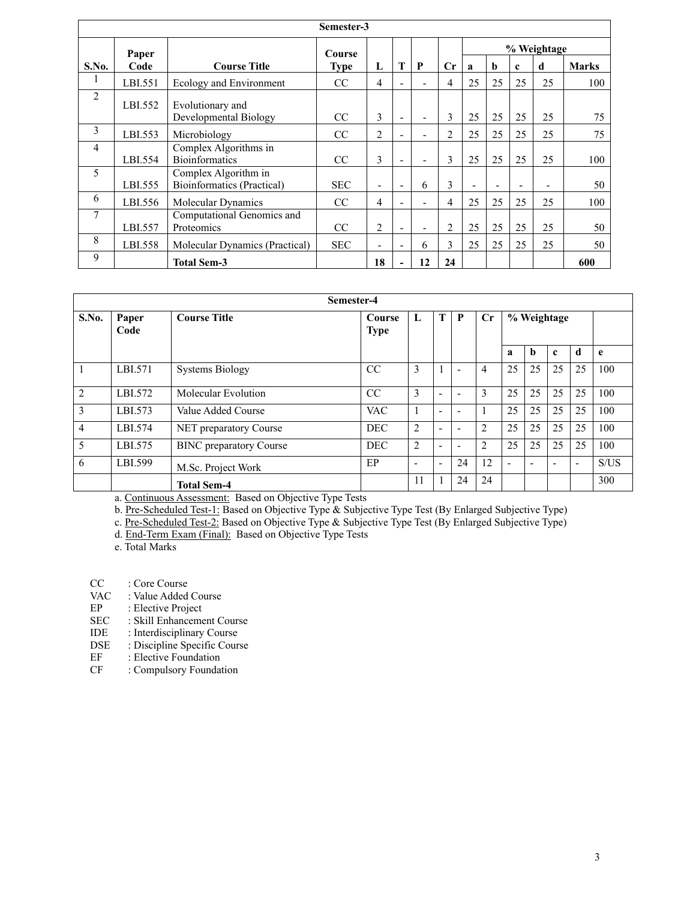|                |         |                                                    | Semester-3    |                          |                          |                          |                |                              |             |                          |    |              |
|----------------|---------|----------------------------------------------------|---------------|--------------------------|--------------------------|--------------------------|----------------|------------------------------|-------------|--------------------------|----|--------------|
|                | Paper   |                                                    | <b>Course</b> |                          |                          |                          |                |                              | % Weightage |                          |    |              |
| S.No.          | Code    | <b>Course Title</b>                                | <b>Type</b>   | L                        | T                        | P                        | $\mathbf{C}$ r | $\bf{a}$                     | b           | $\mathbf c$              | d  | <b>Marks</b> |
| 1              | LBI.551 | Ecology and Environment                            | CC            | 4                        | $\overline{\phantom{0}}$ | $\blacksquare$           | 4              | 25                           | 25          | 25                       | 25 | 100          |
| $\overline{c}$ | LBI.552 | Evolutionary and<br>Developmental Biology          | <sub>CC</sub> | 3                        | $\blacksquare$           | $\blacksquare$           | 3              | 25                           | 25          | 25                       | 25 | 75           |
| 3              | LBI.553 | Microbiology                                       | CC            | $\overline{c}$           |                          | $\blacksquare$           | $\overline{2}$ | 25                           | 25          | 25                       | 25 | 75           |
| $\overline{4}$ | LBI.554 | Complex Algorithms in<br><b>Bioinformatics</b>     | CC            | 3                        | $\blacksquare$           | $\overline{\phantom{0}}$ | $\mathfrak{Z}$ | 25                           | 25          | 25                       | 25 | 100          |
| 5              | LBI.555 | Complex Algorithm in<br>Bioinformatics (Practical) | <b>SEC</b>    | ۰                        | $\overline{\phantom{a}}$ | 6                        | 3              | $\qquad \qquad \blacksquare$ |             | $\overline{\phantom{0}}$ |    | 50           |
| 6              | LBI.556 | <b>Molecular Dynamics</b>                          | <sub>CC</sub> | 4                        |                          | ۳                        | 4              | 25                           | 25          | 25                       | 25 | 100          |
| 7              | LBI.557 | Computational Genomics and<br>Proteomics           | CC            | $\overline{c}$           | $\blacksquare$           | $\overline{\phantom{0}}$ | 2              | 25                           | 25          | 25                       | 25 | 50           |
| 8              | LBI.558 | Molecular Dynamics (Practical)                     | <b>SEC</b>    | $\overline{\phantom{0}}$ | $\overline{a}$           | 6                        | 3              | 25                           | 25          | 25                       | 25 | 50           |
| 9              |         | <b>Total Sem-3</b>                                 |               | 18                       |                          | 12                       | 24             |                              |             |                          |    | 600          |

|                | Semester-4    |                                |                       |                          |                          |                          |                |             |    |              |    |      |
|----------------|---------------|--------------------------------|-----------------------|--------------------------|--------------------------|--------------------------|----------------|-------------|----|--------------|----|------|
| S.No.          | Paper<br>Code | <b>Course Title</b>            | Course<br><b>Type</b> | L                        | т                        | $\mathbf{P}$             | $\mathbf{C}$ r | % Weightage |    |              |    |      |
|                |               |                                |                       |                          |                          |                          |                | a           | b  | $\mathbf{c}$ | d  | e    |
|                | LBI.571       | <b>Systems Biology</b>         | <sub>CC</sub>         | 3                        |                          | $\overline{\phantom{a}}$ | 4              | 25          | 25 | 25           | 25 | 100  |
| 2              | LBI.572       | Molecular Evolution            | CC                    | 3                        | $\overline{\phantom{0}}$ | $\overline{\phantom{0}}$ | 3              | 25          | 25 | 25           | 25 | 100  |
| 3              | LBI.573       | Value Added Course             | <b>VAC</b>            | $\mathbf{1}$             | -                        | -                        |                | 25          | 25 | 25           | 25 | 100  |
| $\overline{4}$ | LBI.574       | <b>NET</b> preparatory Course  | <b>DEC</b>            | 2                        | ٠                        | $\overline{\phantom{a}}$ | 2              | 25          | 25 | 25           | 25 | 100  |
| 5              | LBI.575       | <b>BINC</b> preparatory Course | <b>DEC</b>            | 2                        | $\overline{\phantom{0}}$ | $\overline{\phantom{0}}$ | $\overline{2}$ | 25          | 25 | 25           | 25 | 100  |
| 6              | LBI.599       | M.Sc. Project Work             | EP                    | $\overline{\phantom{0}}$ | ÷.                       | 24                       | 12             | ۰           |    |              | ۰  | S/US |
|                |               | <b>Total Sem-4</b>             |                       | 11                       |                          | 24                       | 24             |             |    |              |    | 300  |

a. Continuous Assessment: Based on Objective Type Tests

b. Pre-Scheduled Test-1: Based on Objective Type & Subjective Type Test (By Enlarged Subjective Type)

c. Pre-Scheduled Test-2: Based on Objective Type & Subjective Type Test (By Enlarged Subjective Type)

d. End-Term Exam (Final): Based on Objective Type Tests

e. Total Marks

CC : Core Course<br>VAC : Value Added

- VAC : Value Added Course<br>EP : Elective Project
- EP : Elective Project<br>SEC : Skill Enhanceme
- : Skill Enhancement Course
- IDE : Interdisciplinary Course<br>DSE : Discipline Specific Cours
- DSE : Discipline Specific Course<br>
EF : Elective Foundation
- EF : Elective Foundation<br>
CF : Compulsory Foundation
- : Compulsory Foundation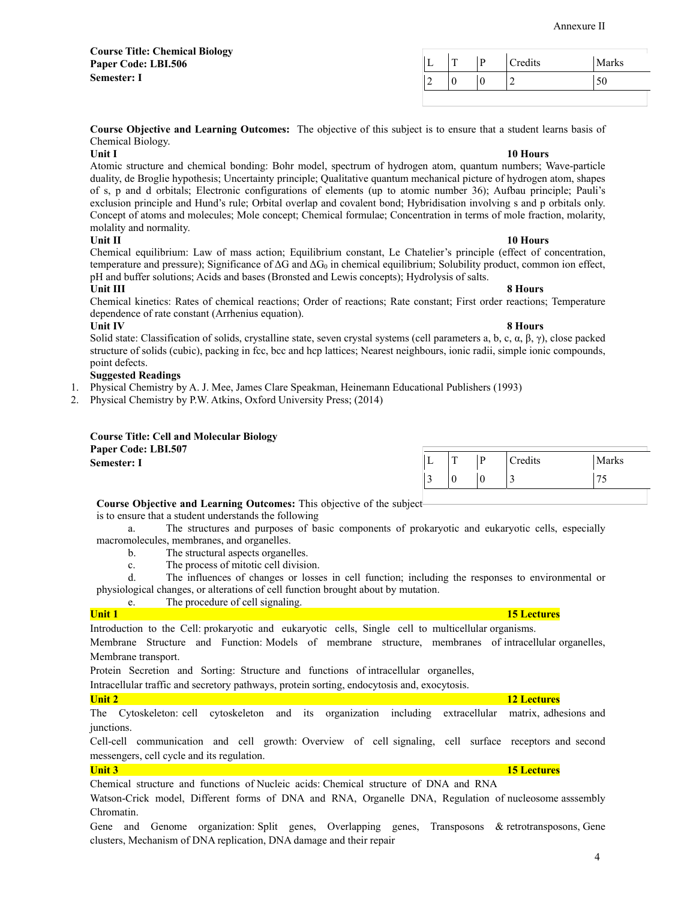4

Annexure II

| <b>Course Title: Chemical Biology</b> |              |   |         |       |
|---------------------------------------|--------------|---|---------|-------|
| Paper Code: LBI.506                   | $\mathbf{r}$ | D | Credits | Marks |
| <b>Semester: I</b>                    |              |   |         | 50    |
|                                       |              |   |         |       |

**Course Objective and Learning Outcomes:** The objective of this subject is to ensure that a student learns basis of Chemical Biology.

**Unit I** 10 Hours **10 Hours** Atomic structure and chemical bonding: Bohr model, spectrum of hydrogen atom, quantum numbers; Wave-particle duality, de Broglie hypothesis; Uncertainty principle; Qualitative quantum mechanical picture of hydrogen atom, shapes of s, p and d orbitals; Electronic configurations of elements (up to atomic number 36); Aufbau principle; Pauli's exclusion principle and Hund's rule; Orbital overlap and covalent bond; Hybridisation involving s and p orbitals only. Concept of atoms and molecules; Mole concept; Chemical formulae; Concentration in terms of mole fraction, molarity, molality and normality.

## **Unit II** 10 Hours **10 Hours**

Chemical equilibrium: Law of mass action; Equilibrium constant, Le Chatelier's principle (effect of concentration, temperature and pressure); Significance of  $\Delta G$  and  $\Delta G_0$  in chemical equilibrium; Solubility product, common ion effect, pH and buffer solutions; Acids and bases (Bronsted and Lewis concepts); Hydrolysis of salts.

## **Unit III 8 Hours**

Chemical kinetics: Rates of chemical reactions; Order of reactions; Rate constant; First order reactions; Temperature dependence of rate constant (Arrhenius equation).

**Unit IV 8 Hours**  Solid state: Classification of solids, crystalline state, seven crystal systems (cell parameters a, b, c, α, β, γ), close packed structure of solids (cubic), packing in fcc, bcc and hcp lattices; Nearest neighbours, ionic radii, simple ionic compounds, point defects.

## **Suggested Readings**

1. Physical Chemistry by A. J. Mee, James Clare Speakman, Heinemann Educational Publishers (1993)

2. Physical Chemistry by P.W. Atkins, Oxford University Press; (2014)

### **Course Title: Cell and Molecular Biology Paper Code: LBI.507**

| <b>Tapel Cour.</b> Library |   |                                    |                                          |                          |         |
|----------------------------|---|------------------------------------|------------------------------------------|--------------------------|---------|
| <b>Semester: 1</b>         | P | $\sim$<br>$\overline{\phantom{a}}$ | $\mathbf{D}$<br>$\overline{\phantom{a}}$ | <b>Predits</b><br>$\sim$ | Marks   |
|                            | ້ | .,                                 |                                          | س                        | 75<br>ີ |
|                            |   |                                    |                                          |                          |         |

## **Course Objective and Learning Outcomes:** This objective of the subject

is to ensure that a student understands the following

 a. The structures and purposes of basic components of prokaryotic and eukaryotic cells, especially macromolecules, membranes, and organelles.

- b. The structural aspects organelles.
- c. The process of mitotic cell division.

 d. The influences of changes or losses in cell function; including the responses to environmental or physiological changes, or alterations of cell function brought about by mutation.

e. The procedure of cell signaling.

## **Unit 1 15 Lectures**

Introduction to the Cell: prokaryotic and eukaryotic cells, Single cell to multicellular organisms.

Membrane Structure and Function: Models of membrane structure, membranes of intracellular organelles, Membrane transport.

Protein Secretion and Sorting: Structure and functions of intracellular organelles,

Intracellular traffic and secretory pathways, protein sorting, endocytosis and, exocytosis.

The Cytoskeleton: cell cytoskeleton and its organization including extracellular matrix, adhesions and junctions.

Cell-cell communication and cell growth: Overview of cell signaling, cell surface receptors and second messengers, cell cycle and its regulation.

## **Unit 3 15 Lectures**

Chemical structure and functions of Nucleic acids: Chemical structure of DNA and RNA

Watson-Crick model, Different forms of DNA and RNA, Organelle DNA, Regulation of nucleosome asssembly Chromatin.

Gene and Genome organization: Split genes, Overlapping genes, Transposons & retrotransposons, Gene clusters, Mechanism of DNA replication, DNA damage and their repair

## **Unit 2 12 Lectures**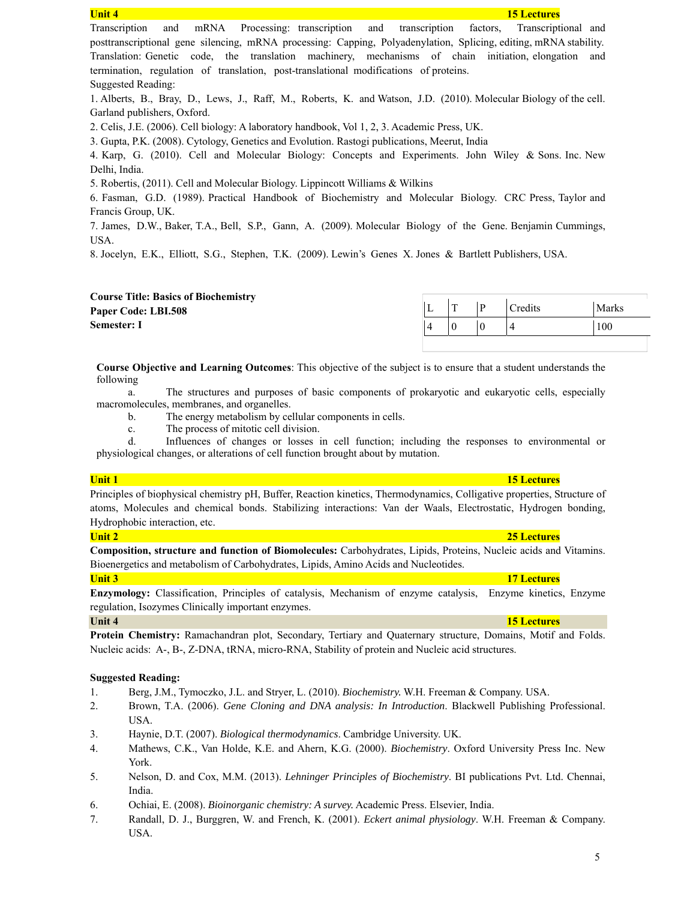| <b>Unit 4</b><br><b>15 Lectures</b>                                                                               |
|-------------------------------------------------------------------------------------------------------------------|
| Transcription<br>and mRNA Processing: transcription and transcription<br>factors, Transcriptional and             |
| posttranscriptional gene silencing, mRNA processing: Capping, Polyadenylation, Splicing, editing, mRNA stability. |
| Translation: Genetic code, the translation machinery, mechanisms of chain initiation, elongation<br>and           |
| termination, regulation of translation, post-translational modifications of proteins.                             |
| Suggested Reading:                                                                                                |
| 1. Alberts, B., Bray, D., Lews, J., Raff, M., Roberts, K. and Watson, J.D. (2010). Molecular Biology of the cell. |
| Garland publishers, Oxford.                                                                                       |
| 2. Celis, J.E. (2006). Cell biology: A laboratory handbook, Vol 1, 2, 3. Academic Press, UK.                      |
| 3. Gupta, P.K. (2008). Cytology, Genetics and Evolution. Rastogi publications, Meerut, India                      |
| 4. Karp, G. (2010). Cell and Molecular Biology: Concepts and Experiments. John Wiley & Sons. Inc. New             |
| Delhi, India.                                                                                                     |
| 5. Robertis, (2011). Cell and Molecular Biology. Lippincott Williams & Wilkins                                    |
| 6. Fasman, G.D. (1989). Practical Handbook of Biochemistry and Molecular Biology. CRC Press, Taylor and           |
| Francis Group, UK.                                                                                                |
| 7. James, D.W., Baker, T.A., Bell, S.P., Gann, A. (2009). Molecular Biology of the Gene. Benjamin Cummings,       |
| USA.                                                                                                              |
| 8. Jocelyn, E.K., Elliott, S.G., Stephen, T.K. (2009). Lewin's Genes X. Jones & Bartlett Publishers, USA.         |
|                                                                                                                   |

| <b>Course Title: Basics of Biochemistry</b> |                  |                      |       |
|---------------------------------------------|------------------|----------------------|-------|
| Paper Code: LBI.508                         | m                | <sup>'</sup> Credits | Marks |
| <b>Semester: I</b>                          | $\boldsymbol{0}$ |                      | 100   |
|                                             |                  |                      |       |

**Course Objective and Learning Outcomes**: This objective of the subject is to ensure that a student understands the following

 a. The structures and purposes of basic components of prokaryotic and eukaryotic cells, especially macromolecules, membranes, and organelles.

b. The energy metabolism by cellular components in cells.

c. The process of mitotic cell division.

 d. Influences of changes or losses in cell function; including the responses to environmental or physiological changes, or alterations of cell function brought about by mutation.

Principles of biophysical chemistry pH, Buffer, Reaction kinetics, Thermodynamics, Colligative properties, Structure of atoms, Molecules and chemical bonds. Stabilizing interactions: Van der Waals, Electrostatic, Hydrogen bonding, Hydrophobic interaction, etc.

**Composition, structure and function of Biomolecules:** Carbohydrates, Lipids, Proteins, Nucleic acids and Vitamins. Bioenergetics and metabolism of Carbohydrates, Lipids, Amino Acids and Nucleotides.

**Enzymology:** Classification, Principles of catalysis, Mechanism of enzyme catalysis, Enzyme kinetics, Enzyme regulation, Isozymes Clinically important enzymes.

**Protein Chemistry:** Ramachandran plot, Secondary, Tertiary and Quaternary structure, Domains, Motif and Folds. Nucleic acids: A-, B-, Z-DNA, tRNA, micro-RNA, Stability of protein and Nucleic acid structures.

### **Suggested Reading:**

- 1. Berg, J.M., Tymoczko, J.L. and Stryer, L. (2010). *Biochemistry.* W.H. Freeman & Company. USA.
- 2. Brown, T.A. (2006). *Gene Cloning and DNA analysis: In Introduction*. Blackwell Publishing Professional. USA.
- 3. Haynie, D.T. (2007). *Biological thermodynamics*. Cambridge University. UK.
- 4. Mathews, C.K., Van Holde, K.E. and Ahern, K.G. (2000). *Biochemistry*. Oxford University Press Inc. New York.
- 5. Nelson, D. and Cox, M.M. (2013). *Lehninger Principles of Biochemistry*. BI publications Pvt. Ltd. Chennai, India.
- 6. Ochiai, E. (2008). *Bioinorganic chemistry: A survey.* Academic Press. Elsevier, India.
- 7. Randall, D. J., Burggren, W. and French, K. (2001). *Eckert animal physiology*. W.H. Freeman & Company. USA.

### **Unit 1 15 Lectures**

## **Unit 3 17 Lectures**

# **Unit 2 25 Lectures**

**Unit 4 15 Lectures**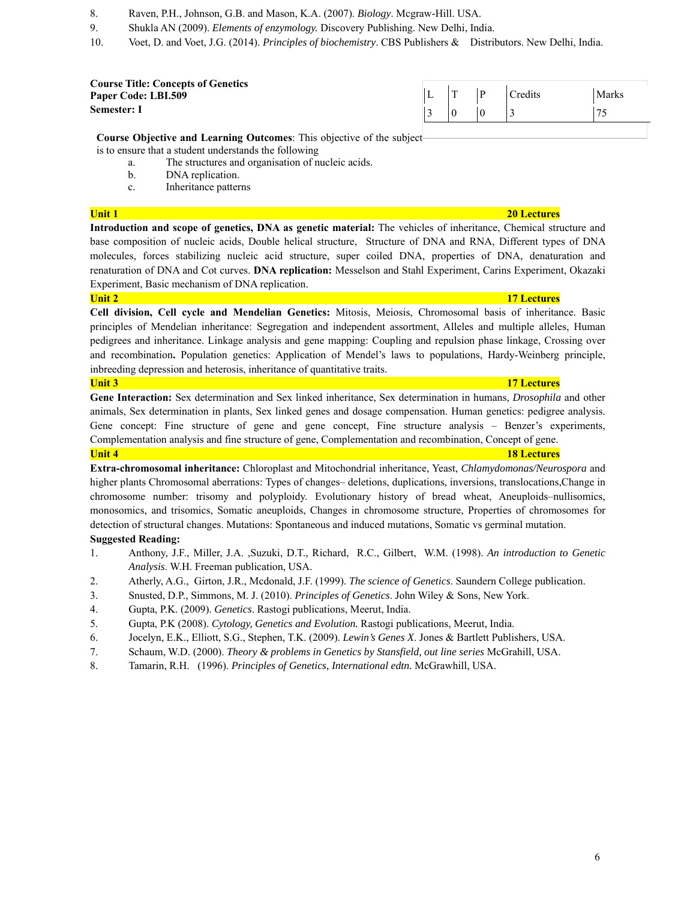- 8. Raven, P.H., Johnson, G.B. and Mason, K.A. (2007). *Biology*. Mcgraw-Hill. USA.
- 9. Shukla AN (2009). *Elements of enzymology.* Discovery Publishing. New Delhi, India.
- 10. Voet, D. and Voet, J.G. (2014). *Principles of biochemistry*. CBS Publishers & Distributors. New Delhi, India.

| <b>Course Title: Concepts of Genetics</b> |          |   |         |       |
|-------------------------------------------|----------|---|---------|-------|
| <b>Paper Code: LBI.509</b>                | <u>ь</u> |   | Credits | Marks |
| Semester: I                               |          | € |         |       |

**Course Objective and Learning Outcomes**: This objective of the subject

is to ensure that a student understands the following

a. The structures and organisation of nucleic acids.

- b. DNA replication.
- c. Inheritance patterns

**Introduction and scope of genetics, DNA as genetic material:** The vehicles of inheritance, Chemical structure and base composition of nucleic acids, Double helical structure, Structure of DNA and RNA, Different types of DNA molecules, forces stabilizing nucleic acid structure, super coiled DNA, properties of DNA, denaturation and renaturation of DNA and Cot curves. **DNA replication:** Messelson and Stahl Experiment, Carins Experiment, Okazaki Experiment, Basic mechanism of DNA replication.

### **Unit 2 17 Lectures**

**Cell division, Cell cycle and Mendelian Genetics:** Mitosis, Meiosis, Chromosomal basis of inheritance. Basic principles of Mendelian inheritance: Segregation and independent assortment, Alleles and multiple alleles, Human pedigrees and inheritance. Linkage analysis and gene mapping: Coupling and repulsion phase linkage, Crossing over and recombination**.** Population genetics: Application of Mendel's laws to populations, Hardy-Weinberg principle, inbreeding depression and heterosis, inheritance of quantitative traits.

### **Unit 3 17 Lectures**

**Gene Interaction:** Sex determination and Sex linked inheritance, Sex determination in humans, *Drosophila* and other animals, Sex determination in plants, Sex linked genes and dosage compensation. Human genetics: pedigree analysis. Gene concept: Fine structure of gene and gene concept, Fine structure analysis – Benzer's experiments, Complementation analysis and fine structure of gene, Complementation and recombination, Concept of gene.

**Unit 4 18 Lectures 18 Lectures** 

**Extra-chromosomal inheritance:** Chloroplast and Mitochondrial inheritance, Yeast, *Chlamydomonas/Neurospora* and higher plants Chromosomal aberrations: Types of changes– deletions, duplications, inversions, translocations, Change in chromosome number: trisomy and polyploidy. Evolutionary history of bread wheat, Aneuploids–nullisomics, monosomics, and trisomics, Somatic aneuploids, Changes in chromosome structure, Properties of chromosomes for detection of structural changes. Mutations: Spontaneous and induced mutations, Somatic vs germinal mutation. **Suggested Reading:** 

- 1. Anthony, J.F., Miller, J.A. ,Suzuki, D.T., Richard, R.C., Gilbert, W.M. (1998). *An introduction to Genetic Analysis*. W.H. Freeman publication, USA.
- 2. Atherly, A.G., Girton, J.R., Mcdonald, J.F. (1999). *The science of Genetics*. Saundern College publication.
- 3. Snusted, D.P., Simmons, M. J. (2010). *Principles of Genetics*. John Wiley & Sons, New York.
- 4. Gupta, P.K. (2009). *Genetics*. Rastogi publications, Meerut, India.
- 5. Gupta, P.K (2008). *Cytology, Genetics and Evolution.* Rastogi publications, Meerut, India.
- 6. Jocelyn, E.K., Elliott, S.G., Stephen, T.K. (2009). *Lewin's Genes X*. Jones & Bartlett Publishers, USA.
- 7. Schaum, W.D. (2000). *Theory & problems in Genetics by Stansfield, out line series* McGrahill, USA.
- 8. Tamarin, R.H. (1996). *Principles of Genetics, International edtn.* McGrawhill, USA.

## **Unit 1 20 Lectures**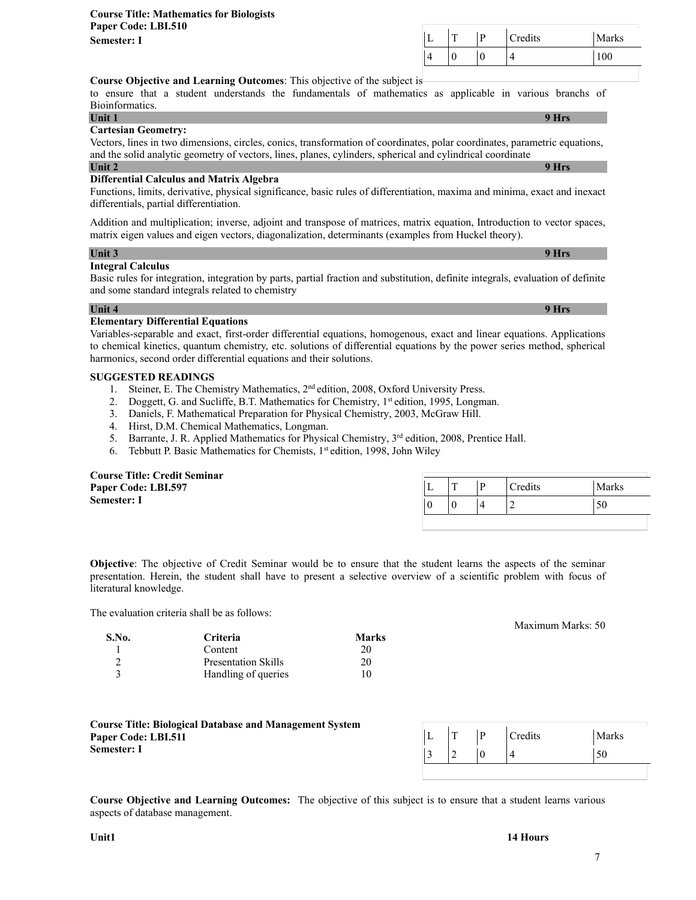**Course Objective and Learning Outcomes**: This objective of the subject is to ensure that a student understands the fundamentals of mathematics as applicable in various branchs of Bioinformatics.

**Unit 1 9 Hrs**

### **Cartesian Geometry:**

Vectors, lines in two dimensions, circles, conics, transformation of coordinates, polar coordinates, parametric equations, and the solid analytic geometry of vectors, lines, planes, cylinders, spherical and cylindrical coordinate **Unit 2 9 Hrs**

### **Differential Calculus and Matrix Algebra**

Functions, limits, derivative, physical significance, basic rules of differentiation, maxima and minima, exact and inexact differentials, partial differentiation.

Addition and multiplication; inverse, adjoint and transpose of matrices, matrix equation, Introduction to vector spaces, matrix eigen values and eigen vectors, diagonalization, determinants (examples from Huckel theory).

### **Unit 3 9 Hrs**

### **Integral Calculus**

Basic rules for integration, integration by parts, partial fraction and substitution, definite integrals, evaluation of definite and some standard integrals related to chemistry

### **Unit 4 9 Hrs**

### **Elementary Differential Equations**

Variables-separable and exact, first-order differential equations, homogenous, exact and linear equations. Applications to chemical kinetics, quantum chemistry, etc. solutions of differential equations by the power series method, spherical harmonics, second order differential equations and their solutions.

## **SUGGESTED READINGS**

- 1. Steiner, E. The Chemistry Mathematics,  $2<sup>nd</sup>$  edition, 2008, Oxford University Press.
- 2. Doggett, G. and Sucliffe, B.T. Mathematics for Chemistry, 1<sup>st</sup> edition, 1995, Longman.
- 3. Daniels, F. Mathematical Preparation for Physical Chemistry, 2003, McGraw Hill.
- 4. Hirst, D.M. Chemical Mathematics, Longman.
- 5. Barrante, J. R. Applied Mathematics for Physical Chemistry, 3<sup>rd</sup> edition, 2008, Prentice Hall.
- 6. Tebbutt P. Basic Mathematics for Chemists, 1<sup>st</sup> edition, 1998, John Wiley

| <b>Course Title: Credit Seminar</b> |                 |   |         |              |
|-------------------------------------|-----------------|---|---------|--------------|
| Paper Code: LBI.597                 | <u>. на три</u> |   | Credits | <b>Marks</b> |
| <b>Semester: I</b>                  |                 | 4 |         | 50           |
|                                     |                 |   |         |              |

**Objective**: The objective of Credit Seminar would be to ensure that the student learns the aspects of the seminar presentation. Herein, the student shall have to present a selective overview of a scientific problem with focus of literatural knowledge.

The evaluation criteria shall be as follows:

| S.No. | <b>Criteria</b>            | <b>Marks</b> |
|-------|----------------------------|--------------|
|       | Content                    | 20           |
|       | <b>Presentation Skills</b> | 20           |
|       | Handling of queries        | 10           |

**Course Title: Biological Database and Management System Paper Code: LBI.511 Semester: I** 

**Course Objective and Learning Outcomes:** The objective of this subject is to ensure that a student learns various aspects of database management.

L T P Credits Marks  $3 \mid 2 \mid 0 \mid 4$  | 50

Maximum Marks: 50

L | T | P | Credits | Marks  $4 \t |0 \t |0 \t |4$  |100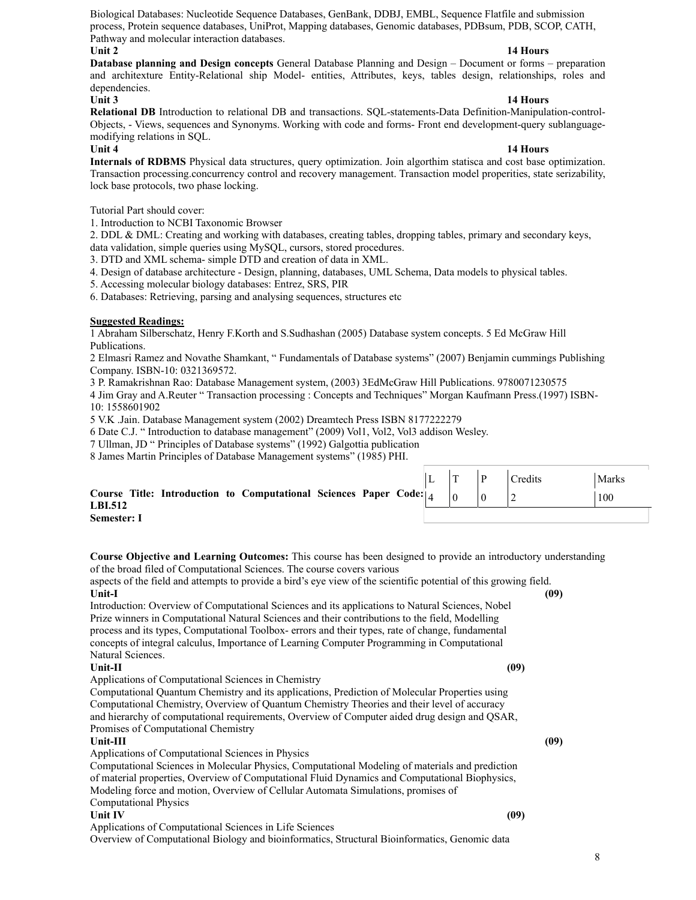Biological Databases: Nucleotide Sequence Databases, GenBank, DDBJ, EMBL, Sequence Flatfile and submission process, Protein sequence databases, UniProt, Mapping databases, Genomic databases, PDBsum, PDB, SCOP, CATH, Pathway and molecular interaction databases.

### **Unit 2** 14 Hours **12** 12 Hours **12** 12 Hours **12** 12 Hours **12** 13 Hours **12** 13 Hours **12** 13 Hours **12** 13 Hours **12** 13 Hours **12** 13 Hours **12** 13 Hours **12** 13 Hours **12** 13 Hours **12** 13 Hours **12** 13 Hours **12** 13

**Database planning and Design concepts** General Database Planning and Design – Document or forms – preparation and architexture Entity-Relational ship Model- entities, Attributes, keys, tables design, relationships, roles and dependencies.

### **Unit 3** 14 Hours **12 Hours 12 Hours 12 Hours**

**Relational DB** Introduction to relational DB and transactions. SQL-statements-Data Definition-Manipulation-control-Objects, - Views, sequences and Synonyms. Working with code and forms- Front end development-query sublanguagemodifying relations in SQL.

### **Unit 4 14 Hours**

**Internals of RDBMS** Physical data structures, query optimization. Join algorthim statisca and cost base optimization. Transaction processing.concurrency control and recovery management. Transaction model properities, state serizability, lock base protocols, two phase locking.

Tutorial Part should cover:

1. Introduction to NCBI Taxonomic Browser

2. DDL & DML: Creating and working with databases, creating tables, dropping tables, primary and secondary keys, data validation, simple queries using MySQL, cursors, stored procedures.

3. DTD and XML schema- simple DTD and creation of data in XML.

4. Design of database architecture - Design, planning, databases, UML Schema, Data models to physical tables.

5. Accessing molecular biology databases: Entrez, SRS, PIR

6. Databases: Retrieving, parsing and analysing sequences, structures etc

### **Suggested Readings:**

1 Abraham Silberschatz, Henry F.Korth and S.Sudhashan (2005) Database system concepts. 5 Ed McGraw Hill Publications.

2 Elmasri Ramez and Novathe Shamkant, " Fundamentals of Database systems" (2007) Benjamin cummings Publishing Company. ISBN-10: 0321369572.

3 P. Ramakrishnan Rao: Database Management system, (2003) 3EdMcGraw Hill Publications. 9780071230575

4 Jim Gray and A.Reuter " Transaction processing : Concepts and Techniques" Morgan Kaufmann Press.(1997) ISBN-10: 1558601902

5 V.K .Jain. Database Management system (2002) Dreamtech Press ISBN 8177222279

6 Date C.J. " Introduction to database management" (2009) Vol1, Vol2, Vol3 addison Wesley.

7 Ullman, JD " Principles of Database systems" (1992) Galgottia publication

8 James Martin Principles of Database Management systems" (1985) PHI.

|                                                                                                     |  | $ L $ $ T $ $ P $ | Credits | Marks |
|-----------------------------------------------------------------------------------------------------|--|-------------------|---------|-------|
| Course Title: Introduction to Computational Sciences Paper Code: $ 4 \tcdot  0 \tcdot  $<br>LBI.512 |  |                   |         | 100   |
| <b>Semester: I</b>                                                                                  |  |                   |         |       |

**Course Objective and Learning Outcomes:** This course has been designed to provide an introductory understanding of the broad filed of Computational Sciences. The course covers various

aspects of the field and attempts to provide a bird's eye view of the scientific potential of this growing field. **Unit-I (09)** 

Introduction: Overview of Computational Sciences and its applications to Natural Sciences, Nobel Prize winners in Computational Natural Sciences and their contributions to the field, Modelling process and its types, Computational Toolbox- errors and their types, rate of change, fundamental concepts of integral calculus, Importance of Learning Computer Programming in Computational Natural Sciences.

### **Unit-II (09)**

Applications of Computational Sciences in Chemistry

Computational Quantum Chemistry and its applications, Prediction of Molecular Properties using Computational Chemistry, Overview of Quantum Chemistry Theories and their level of accuracy and hierarchy of computational requirements, Overview of Computer aided drug design and QSAR, Promises of Computational Chemistry

### **Unit-III (09)**

Applications of Computational Sciences in Physics

Computational Sciences in Molecular Physics, Computational Modeling of materials and prediction of material properties, Overview of Computational Fluid Dynamics and Computational Biophysics, Modeling force and motion, Overview of Cellular Automata Simulations, promises of Computational Physics

### **Unit IV (09)**

Applications of Computational Sciences in Life Sciences

Overview of Computational Biology and bioinformatics, Structural Bioinformatics, Genomic data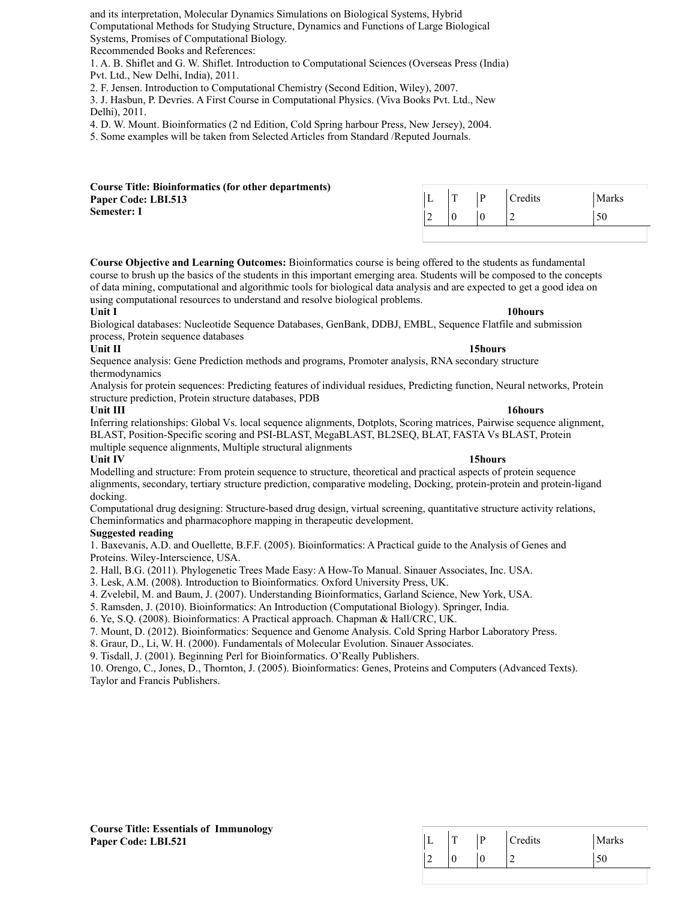and its interpretation, Molecular Dynamics Simulations on Biological Systems, Hybrid Computational Methods for Studying Structure, Dynamics and Functions of Large Biological Systems, Promises of Computational Biology.

Recommended Books and References:

1. A. B. Shiflet and G. W. Shiflet. Introduction to Computational Sciences (Overseas Press (India) Pvt. Ltd., New Delhi, India), 2011.

2. F. Jensen. Introduction to Computational Chemistry (Second Edition, Wiley), 2007.

3. J. Hasbun, P. Devries. A First Course in Computational Physics. (Viva Books Pvt. Ltd., New Delhi), 2011.

4. D. W. Mount. Bioinformatics (2 nd Edition, Cold Spring harbour Press, New Jersey), 2004.

5. Some examples will be taken from Selected Articles from Standard /Reputed Journals.

| <b>Course Title: Bioinformatics (for other departments)</b> |   |  |                |       |
|-------------------------------------------------------------|---|--|----------------|-------|
| Paper Code: LBI.513                                         | ∸ |  | <b>Predits</b> | Marks |
| <b>Semester: I</b>                                          |   |  |                | 50    |
|                                                             |   |  |                |       |

**Course Objective and Learning Outcomes:** Bioinformatics course is being offered to the students as fundamental course to brush up the basics of the students in this important emerging area. Students will be composed to the concepts of data mining, computational and algorithmic tools for biological data analysis and are expected to get a good idea on using computational resources to understand and resolve biological problems.

### **Unit I** 10hours **10hours 10hours**

Biological databases: Nucleotide Sequence Databases, GenBank, DDBJ, EMBL, Sequence Flatfile and submission process, Protein sequence databases

### **Unit II** 15hours **15hours 15hours**

Sequence analysis: Gene Prediction methods and programs, Promoter analysis, RNA secondary structure thermodynamics

Analysis for protein sequences: Predicting features of individual residues, Predicting function, Neural networks, Protein structure prediction, Protein structure databases, PDB

**Unit III** 16hours **16hours** Inferring relationships: Global Vs. local sequence alignments, Dotplots, Scoring matrices, Pairwise sequence alignment, BLAST, Position-Specific scoring and PSI-BLAST, MegaBLAST, BL2SEQ, BLAT, FASTA Vs BLAST, Protein multiple sequence alignments, Multiple structural alignments

## **Unit IV 15hours**

Modelling and structure: From protein sequence to structure, theoretical and practical aspects of protein sequence alignments, secondary, tertiary structure prediction, comparative modeling, Docking, protein-protein and protein-ligand docking.

Computational drug designing: Structure-based drug design, virtual screening, quantitative structure activity relations, Cheminformatics and pharmacophore mapping in therapeutic development.

### **Suggested reading**

1. Baxevanis, A.D. and Ouellette, B.F.F. (2005). Bioinformatics: A Practical guide to the Analysis of Genes and Proteins. Wiley-Interscience, USA.

2. Hall, B.G. (2011). Phylogenetic Trees Made Easy: A How-To Manual. Sinauer Associates, Inc. USA.

3. Lesk, A.M. (2008). Introduction to Bioinformatics. Oxford University Press, UK.

4. Zvelebil, M. and Baum, J. (2007). Understanding Bioinformatics, Garland Science, New York, USA.

5. Ramsden, J. (2010). Bioinformatics: An Introduction (Computational Biology). Springer, India.

6. Ye, S.Q. (2008). Bioinformatics: A Practical approach. Chapman & Hall/CRC, UK.

7. Mount, D. (2012). Bioinformatics: Sequence and Genome Analysis. Cold Spring Harbor Laboratory Press.

8. Graur, D., Li, W. H. (2000). Fundamentals of Molecular Evolution. Sinauer Associates.

9. Tisdall, J. (2001). Beginning Perl for Bioinformatics. O'Really Publishers.

10. Orengo, C., Jones, D., Thornton, J. (2005). Bioinformatics: Genes, Proteins and Computers (Advanced Texts). Taylor and Francis Publishers.

|   | <b>TT</b> | D | Credits | Marks |
|---|-----------|---|---------|-------|
| r | ν         | v | -       | ◡◡    |

| <b>Course Title: Essentials of Immunology</b> |  |
|-----------------------------------------------|--|
| Paper Code: LBI.521                           |  |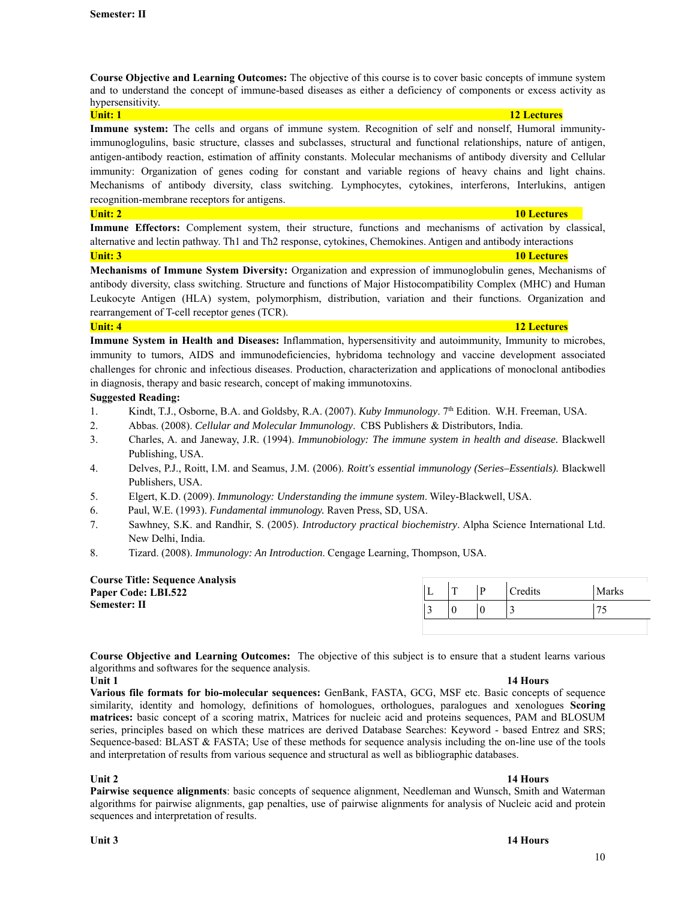**Course Objective and Learning Outcomes:** The objective of this course is to cover basic concepts of immune system and to understand the concept of immune-based diseases as either a deficiency of components or excess activity as hypersensitivity.

**Immune system:** The cells and organs of immune system. Recognition of self and nonself, Humoral immunityimmunoglogulins, basic structure, classes and subclasses, structural and functional relationships, nature of antigen, antigen-antibody reaction, estimation of affinity constants. Molecular mechanisms of antibody diversity and Cellular immunity: Organization of genes coding for constant and variable regions of heavy chains and light chains. Mechanisms of antibody diversity, class switching. Lymphocytes, cytokines, interferons, Interlukins, antigen recognition-membrane receptors for antigens.

### **Unit: 2 10 Lectures 10 Lectures 10 Lectures 10 Lectures 10 Lectures**

**Immune Effectors:** Complement system, their structure, functions and mechanisms of activation by classical, alternative and lectin pathway. Th1 and Th2 response, cytokines, Chemokines. Antigen and antibody interactions **Unit: 3 10 Lectures 10 Lectures 10 Lectures 10 Lectures 10 Lectures 10 Lectures** 

**Mechanisms of Immune System Diversity:** Organization and expression of immunoglobulin genes, Mechanisms of antibody diversity, class switching. Structure and functions of Major Histocompatibility Complex (MHC) and Human Leukocyte Antigen (HLA) system, polymorphism, distribution, variation and their functions. Organization and rearrangement of T-cell receptor genes (TCR).

**Unit: 4 12 Lectures** 

**Immune System in Health and Diseases:** Inflammation, hypersensitivity and autoimmunity, Immunity to microbes, immunity to tumors, AIDS and immunodeficiencies, hybridoma technology and vaccine development associated challenges for chronic and infectious diseases. Production, characterization and applications of monoclonal antibodies in diagnosis, therapy and basic research, concept of making immunotoxins.

## **Suggested Reading:**

- 1. Kindt, T.J., Osborne, B.A. and Goldsby, R.A. (2007). *Kuby Immunology*. 7th Edition. W.H. Freeman, USA.
- 2. Abbas. (2008). *Cellular and Molecular Immunology*. CBS Publishers & Distributors, India.
- 3. Charles, A. and Janeway, J.R. (1994). *Immunobiology: The immune system in health and disease.* Blackwell Publishing, USA.
- 4. Delves, P.J., Roitt, I.M. and Seamus, J.M. (2006). *Roitt's essential immunology (Series–Essentials).* Blackwell Publishers, USA.
- 5. Elgert, K.D. (2009). *Immunology: Understanding the immune system*. Wiley-Blackwell, USA.
- 6. Paul, W.E. (1993). *Fundamental immunology.* Raven Press, SD, USA.
- 7. Sawhney, S.K. and Randhir, S. (2005). *Introductory practical biochemistry*. Alpha Science International Ltd. New Delhi, India.
- 8. Tizard. (2008). *Immunology: An Introduction*. Cengage Learning, Thompson, USA.

| <b>Course Title: Sequence Analysis</b> |   |                |       |
|----------------------------------------|---|----------------|-------|
| Paper Code: LBI.522                    | m | <b>Tredits</b> | Marks |
| Semester: II                           |   |                |       |
|                                        |   |                |       |

**Course Objective and Learning Outcomes:** The objective of this subject is to ensure that a student learns various algorithms and softwares for the sequence analysis.

### **Unit 1 14 Hours**

**Various file formats for bio-molecular sequences:** GenBank, FASTA, GCG, MSF etc. Basic concepts of sequence similarity, identity and homology, definitions of homologues, orthologues, paralogues and xenologues **Scoring matrices:** basic concept of a scoring matrix, Matrices for nucleic acid and proteins sequences, PAM and BLOSUM series, principles based on which these matrices are derived Database Searches: Keyword - based Entrez and SRS; Sequence-based: BLAST & FASTA; Use of these methods for sequence analysis including the on-line use of the tools and interpretation of results from various sequence and structural as well as bibliographic databases.

**Unit 2** 14 Hours **12** 12 Hours **12** 12 Hours **12** 12 Hours **12** 13 Hours **12** 13 Hours **12** 13 Hours **12** 13 Hours **12** 13 Hours **12** 13 Hours **12** 13 Hours **12** 13 Hours **12** 13 Hours **12** 13 Hours **12** 13 Hours **12** 13 **Pairwise sequence alignments**: basic concepts of sequence alignment, Needleman and Wunsch, Smith and Waterman algorithms for pairwise alignments, gap penalties, use of pairwise alignments for analysis of Nucleic acid and protein sequences and interpretation of results.

### **Unit: 1 12 Lectures 12 Lectures**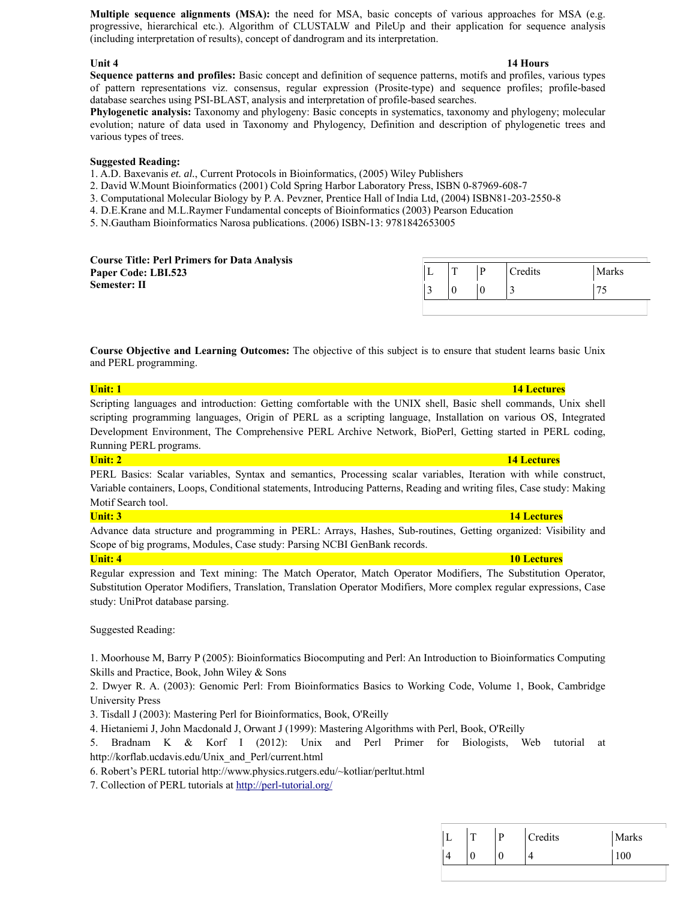**Multiple sequence alignments (MSA):** the need for MSA, basic concepts of various approaches for MSA (e.g. progressive, hierarchical etc.). Algorithm of CLUSTALW and PileUp and their application for sequence analysis (including interpretation of results), concept of dandrogram and its interpretation.

### **Unit 4 14 Hours**

**Sequence patterns and profiles:** Basic concept and definition of sequence patterns, motifs and profiles, various types of pattern representations viz. consensus, regular expression (Prosite-type) and sequence profiles; profile-based database searches using PSI-BLAST, analysis and interpretation of profile-based searches.

**Phylogenetic analysis:** Taxonomy and phylogeny: Basic concepts in systematics, taxonomy and phylogeny; molecular evolution; nature of data used in Taxonomy and Phylogency, Definition and description of phylogenetic trees and various types of trees.

### **Suggested Reading:**

1. A.D. Baxevanis *et. al.*, Current Protocols in Bioinformatics, (2005) Wiley Publishers

- 2. David W.Mount Bioinformatics (2001) Cold Spring Harbor Laboratory Press, ISBN 0-87969-608-7
- 3. Computational Molecular Biology by P. A. Pevzner, Prentice Hall of India Ltd, (2004) ISBN81-203-2550-8
- 4. D.E.Krane and M.L.Raymer Fundamental concepts of Bioinformatics (2003) Pearson Education

5. N.Gautham Bioinformatics Narosa publications. (2006) ISBN-13: 9781842653005

| <b>Course Title: Perl Primers for Data Analysis</b> |  |         |       |
|-----------------------------------------------------|--|---------|-------|
| Paper Code: LBI.523                                 |  | Credits | Marks |
| Semester: II                                        |  |         | 7L    |
|                                                     |  |         |       |

**Course Objective and Learning Outcomes:** The objective of this subject is to ensure that student learns basic Unix and PERL programming.

## **Unit: 1 14 Lectures 14 Lectures** Scripting languages and introduction: Getting comfortable with the UNIX shell, Basic shell commands, Unix shell

scripting programming languages, Origin of PERL as a scripting language, Installation on various OS, Integrated Development Environment, The Comprehensive PERL Archive Network, BioPerl, Getting started in PERL coding, Running PERL programs.

PERL Basics: Scalar variables, Syntax and semantics, Processing scalar variables, Iteration with while construct, Variable containers, Loops, Conditional statements, Introducing Patterns, Reading and writing files, Case study: Making Motif Search tool.

Advance data structure and programming in PERL: Arrays, Hashes, Sub-routines, Getting organized: Visibility and Scope of big programs, Modules, Case study: Parsing NCBI GenBank records.

## **Unit: 4 10 Lectures**

Regular expression and Text mining: The Match Operator, Match Operator Modifiers, The Substitution Operator, Substitution Operator Modifiers, Translation, Translation Operator Modifiers, More complex regular expressions, Case study: UniProt database parsing.

Suggested Reading:

1. Moorhouse M, Barry P (2005): Bioinformatics Biocomputing and Perl: An Introduction to Bioinformatics Computing Skills and Practice, Book, John Wiley & Sons

2. Dwyer R. A. (2003): Genomic Perl: From Bioinformatics Basics to Working Code, Volume 1, Book, Cambridge University Press

3. Tisdall J (2003): Mastering Perl for Bioinformatics, Book, O'Reilly

4. Hietaniemi J, John Macdonald J, Orwant J (1999): Mastering Algorithms with Perl, Book, O'Reilly

5. Bradnam K & Korf I (2012): Unix and Perl Primer for Biologists, Web tutorial at http://korflab.ucdavis.edu/Unix\_and\_Perl/current.html

6. Robert's PERL tutorial http://www.physics.rutgers.edu/~kotliar/perltut.html

7. Collection of PERL tutorials at http://perl-tutorial.org/

|  | D | Credits | Marks |
|--|---|---------|-------|
|  | U |         | 100   |

## **Unit: 2 14 Lectures**

## **Unit: 3 14 Lectures**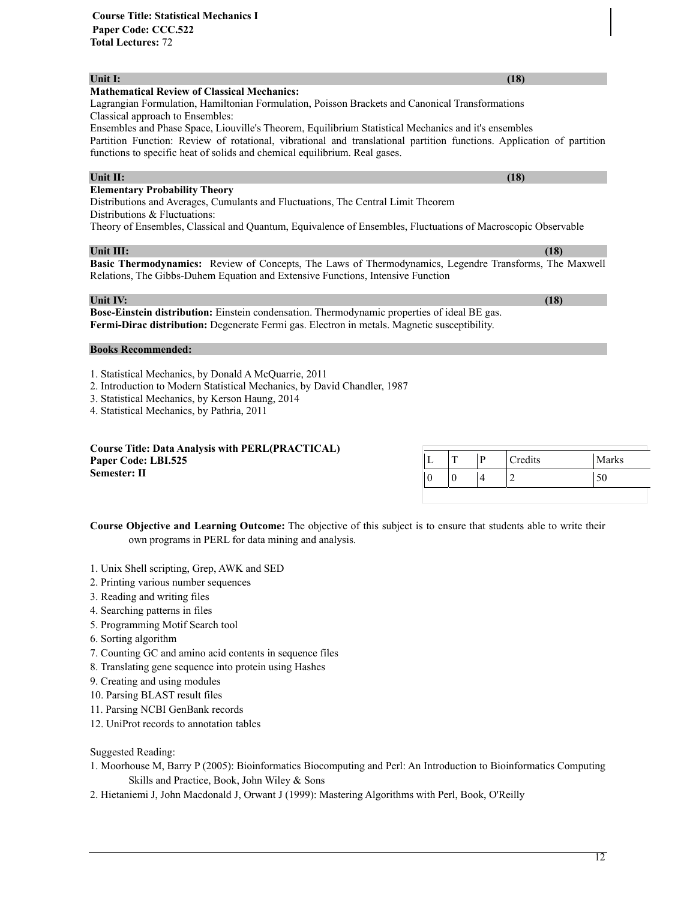## **Unit I:** (18) *Unit I:* (18) *Contract is the contract of the contract of the contract of the contract of the contract of the contract of the contract of the contract of the contract of the contract of the contract of*

### **Mathematical Review of Classical Mechanics:**

Lagrangian Formulation, Hamiltonian Formulation, Poisson Brackets and Canonical Transformations Classical approach to Ensembles:

Ensembles and Phase Space, Liouville's Theorem, Equilibrium Statistical Mechanics and it's ensembles Partition Function: Review of rotational, vibrational and translational partition functions. Application of partition functions to specific heat of solids and chemical equilibrium. Real gases.

### **Unit II:** (18) *Unit II:* **(18) <b>***CONTENT*

### **Elementary Probability Theory**

Distributions and Averages, Cumulants and Fluctuations, The Central Limit Theorem Distributions & Fluctuations:

Theory of Ensembles, Classical and Quantum, Equivalence of Ensembles, Fluctuations of Macroscopic Observable

### **Unit III:** (18) *Unit III:* **(18) <b>***III:* (18) *III:* (18) *III:* (18) *III:* (18) *III:* (18) *III:* (18) *III:* (18) *III:* (18) *III:* (18) *III:* (18) *III:* (18) *III:* (18) *III:* (18) *III*

**Basic Thermodynamics:** Review of Concepts, The Laws of Thermodynamics, Legendre Transforms, The Maxwell Relations, The Gibbs-Duhem Equation and Extensive Functions, Intensive Function

### **Unit IV:** (18) *Unit IV:* (18)

**Bose-Einstein distribution:** Einstein condensation. Thermodynamic properties of ideal BE gas. **Fermi-Dirac distribution:** Degenerate Fermi gas. Electron in metals. Magnetic susceptibility.

### **Books Recommended:**

1. Statistical Mechanics, by Donald A McQuarrie, 2011

2. Introduction to Modern Statistical Mechanics, by David Chandler, 1987

3. Statistical Mechanics, by Kerson Haung, 2014

4. Statistical Mechanics, by Pathria, 2011

| <b>Course Title: Data Analysis with PERL(PRACTICAL)</b> |  |         |       |
|---------------------------------------------------------|--|---------|-------|
| Paper Code: LBI.525                                     |  | Credits | Marks |
| <b>Semester: II</b>                                     |  |         | 50    |

**Course Objective and Learning Outcome:** The objective of this subject is to ensure that students able to write their own programs in PERL for data mining and analysis.

- 1. Unix Shell scripting, Grep, AWK and SED
- 2. Printing various number sequences
- 3. Reading and writing files
- 4. Searching patterns in files
- 5. Programming Motif Search tool
- 6. Sorting algorithm
- 7. Counting GC and amino acid contents in sequence files
- 8. Translating gene sequence into protein using Hashes
- 9. Creating and using modules
- 10. Parsing BLAST result files
- 11. Parsing NCBI GenBank records
- 12. UniProt records to annotation tables

Suggested Reading:

- 1. Moorhouse M, Barry P (2005): Bioinformatics Biocomputing and Perl: An Introduction to Bioinformatics Computing Skills and Practice, Book, John Wiley & Sons
- 2. Hietaniemi J, John Macdonald J, Orwant J (1999): Mastering Algorithms with Perl, Book, O'Reilly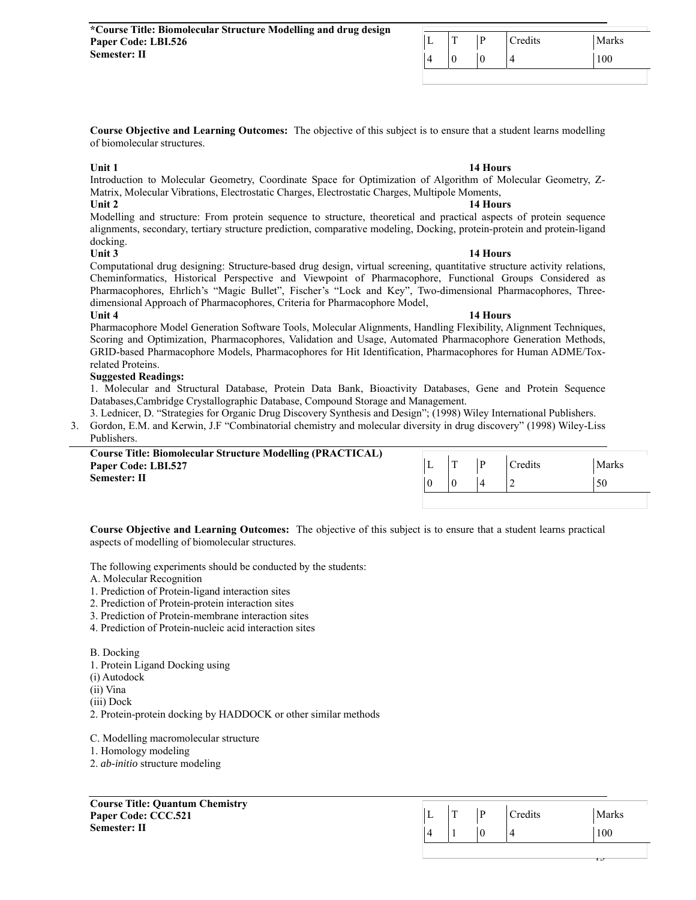|  | œ | D | Credits | Marks |
|--|---|---|---------|-------|
|  | 0 | ν |         | 100   |

**Course Objective and Learning Outcomes:** The objective of this subject is to ensure that a student learns modelling of biomolecular structures.

### **Unit 1 14 Hours 14 Hours**

Introduction to Molecular Geometry, Coordinate Space for Optimization of Algorithm of Molecular Geometry, Z-Matrix, Molecular Vibrations, Electrostatic Charges, Electrostatic Charges, Multipole Moments, **Unit 2** 14 Hours **14 Hours** 

Modelling and structure: From protein sequence to structure, theoretical and practical aspects of protein sequence alignments, secondary, tertiary structure prediction, comparative modeling, Docking, protein-protein and protein-ligand docking.

### **Unit 3** 14 Hours

Computational drug designing: Structure-based drug design, virtual screening, quantitative structure activity relations, Cheminformatics, Historical Perspective and Viewpoint of Pharmacophore, Functional Groups Considered as Pharmacophores, Ehrlich's "Magic Bullet", Fischer's "Lock and Key", Two-dimensional Pharmacophores, Threedimensional Approach of Pharmacophores, Criteria for Pharmacophore Model, **Unit 4 14 Hours** 

### Pharmacophore Model Generation Software Tools, Molecular Alignments, Handling Flexibility, Alignment Techniques, Scoring and Optimization, Pharmacophores, Validation and Usage, Automated Pharmacophore Generation Methods, GRID-based Pharmacophore Models, Pharmacophores for Hit Identification, Pharmacophores for Human ADME/Toxrelated Proteins.

## **Suggested Readings:**

1. Molecular and Structural Database, Protein Data Bank, Bioactivity Databases, Gene and Protein Sequence Databases,Cambridge Crystallographic Database, Compound Storage and Management.

3. Lednicer, D. "Strategies for Organic Drug Discovery Synthesis and Design"; (1998) Wiley International Publishers. 3. Gordon, E.M. and Kerwin, J.F "Combinatorial chemistry and molecular diversity in drug discovery" (1998) Wiley-Liss Publishers.

| <b>Course Title: Biomolecular Structure Modelling (PRACTICAL)</b> |     |  |                |       |
|-------------------------------------------------------------------|-----|--|----------------|-------|
| Paper Code: LBI.527                                               | . . |  | <b>Credits</b> | Marks |
| Semester: II                                                      |     |  |                | 50    |

**Course Objective and Learning Outcomes:** The objective of this subject is to ensure that a student learns practical aspects of modelling of biomolecular structures.

The following experiments should be conducted by the students:

A. Molecular Recognition

1. Prediction of Protein-ligand interaction sites

2. Prediction of Protein-protein interaction sites

3. Prediction of Protein-membrane interaction sites

4. Prediction of Protein-nucleic acid interaction sites

B. Docking 1. Protein Ligand Docking using (i) Autodock (ii) Vina (iii) Dock 2. Protein-protein docking by HADDOCK or other similar methods

C. Modelling macromolecular structure

1. Homology modeling

2. *ab-initio* structure modeling

**Course Title: Quantum Chemistry Paper Code: CCC.521 Semester: II** 

| $\mathbf{r}$ | D | Credits | Marks |
|--------------|---|---------|-------|
|              |   |         | 100   |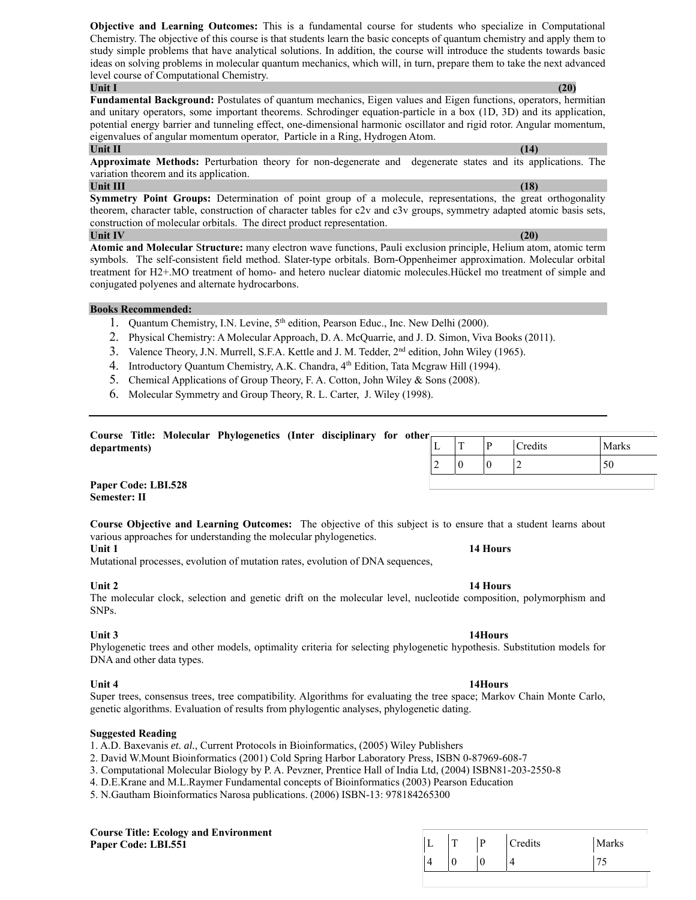**Objective and Learning Outcomes:** This is a fundamental course for students who specialize in Computational Chemistry. The objective of this course is that students learn the basic concepts of quantum chemistry and apply them to study simple problems that have analytical solutions. In addition, the course will introduce the students towards basic ideas on solving problems in molecular quantum mechanics, which will, in turn, prepare them to take the next advanced level course of Computational Chemistry. **Unit I** (20)

**Fundamental Background:** Postulates of quantum mechanics, Eigen values and Eigen functions, operators, hermitian and unitary operators, some important theorems. Schrodinger equation-particle in a box (1D, 3D) and its application, potential energy barrier and tunneling effect, one-dimensional harmonic oscillator and rigid rotor. Angular momentum, eigenvalues of angular momentum operator, Particle in a Ring, Hydrogen Atom.

## **Unit II** (14) *Contract in the contract of the contract of the contract of the contract of the contract of the contract of the contract of the contract of the contract of the contract of the contract of the contract of t*

**Approximate Methods:** Perturbation theory for non-degenerate and degenerate states and its applications. The variation theorem and its application.

## **Unit III** (18) **(18) (18) (18) (18) (18) (18) (18) (18) (18) (18) (18) (18) (18) (18) (18) (18) (18) (18) (18) (18) (18) (18) (18) (18) (18) (18) (18) (18) (18) (1**

**Symmetry Point Groups:** Determination of point group of a molecule, representations, the great orthogonality theorem, character table, construction of character tables for c2v and c3v groups, symmetry adapted atomic basis sets, construction of molecular orbitals. The direct product representation. **Unit IV** (20) *Unit IV* (20)

**Atomic and Molecular** S**tructure:** many electron wave functions, Pauli exclusion principle, Helium atom, atomic term symbols. The self-consistent field method. Slater-type orbitals. Born-Oppenheimer approximation. Molecular orbital treatment for H2+.MO treatment of homo- and hetero nuclear diatomic molecules.Hückel mo treatment of simple and conjugated polyenes and alternate hydrocarbons.

## **Books Recommended:**

- 1. Quantum Chemistry, I.N. Levine, 5<sup>th</sup> edition, Pearson Educ., Inc. New Delhi (2000).
- 2. Physical Chemistry: A Molecular Approach, D. A. McQuarrie, and J. D. Simon, Viva Books (2011).
- 3. Valence Theory, J.N. Murrell, S.F.A. Kettle and J. M. Tedder, 2nd edition, John Wiley (1965).
- 4. Introductory Quantum Chemistry, A.K. Chandra, 4<sup>th</sup> Edition, Tata Mcgraw Hill (1994).
- 5. Chemical Applications of Group Theory, F. A. Cotton, John Wiley & Sons (2008).
- 6. Molecular Symmetry and Group Theory, R. L. Carter, J. Wiley (1998).

|              |  | Course Title: Molecular Phylogenetics (Inter disciplinary for other |  |  |   |  |         |       |
|--------------|--|---------------------------------------------------------------------|--|--|---|--|---------|-------|
| departments) |  |                                                                     |  |  | ┻ |  | Credits | Marks |
|              |  |                                                                     |  |  | ∼ |  |         | 50    |

**Paper Code: LBI.528 Semester: II** 

**Course Objective and Learning Outcomes:** The objective of this subject is to ensure that a student learns about various approaches for understanding the molecular phylogenetics.

**Unit 1 14 Hours 14 Hours** 

Mutational processes, evolution of mutation rates, evolution of DNA sequences,

## **Unit 2** 14 Hours **14 Hours**

The molecular clock, selection and genetic drift on the molecular level, nucleotide composition, polymorphism and SNPs.

## Unit 3 **14Hours 12Hours**

Phylogenetic trees and other models, optimality criteria for selecting phylogenetic hypothesis. Substitution models for DNA and other data types.

Unit 4 **14Hours 12Hours** Super trees, consensus trees, tree compatibility. Algorithms for evaluating the tree space; Markov Chain Monte Carlo, genetic algorithms. Evaluation of results from phylogentic analyses, phylogenetic dating.

## **Suggested Reading**

1. A.D. Baxevanis *et. al.*, Current Protocols in Bioinformatics, (2005) Wiley Publishers

2. David W.Mount Bioinformatics (2001) Cold Spring Harbor Laboratory Press, ISBN 0-8

- 3. Computational Molecular Biology by P. A. Pevzner, Prentice Hall of India Ltd, (2004) Is
- 4. D.E.Krane and M.L.Raymer Fundamental concepts of Bioinformatics (2003) Pearson Education

5. N.Gautham Bioinformatics Narosa publications. (2006) ISBN-13: 978184265300

### **Course Title: Ecology and Environment Paper Code: LBI.551**

| 37969-608-7      |  |
|------------------|--|
| SBN81-203-2550-8 |  |
|                  |  |

| <u>тг</u> | D | Credits | Marks |
|-----------|---|---------|-------|
|           |   |         |       |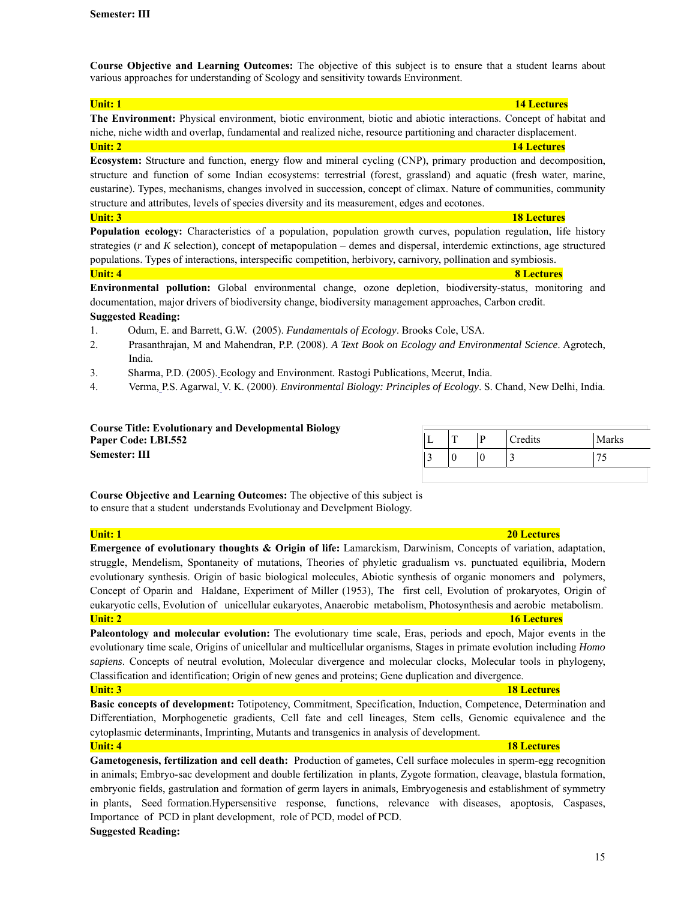**Course Objective and Learning Outcomes:** The objective of this subject is to ensure that a student learns about various approaches for understanding of Scology and sensitivity towards Environment.

**Unit: 1 14 Lectures 14 Lectures The Environment:** Physical environment, biotic environment, biotic and abiotic interactions. Concept of habitat and niche, niche width and overlap, fundamental and realized niche, resource partitioning and character displacement. **Unit: 2 14 Lectures 14 Lectures** 

**Ecosystem:** Structure and function, energy flow and mineral cycling (CNP), primary production and decomposition, structure and function of some Indian ecosystems: terrestrial (forest, grassland) and aquatic (fresh water, marine, eustarine). Types, mechanisms, changes involved in succession, concept of climax. Nature of communities, community structure and attributes, levels of species diversity and its measurement, edges and ecotones.

### **Unit: 3 18 Lectures 18 Lectures 18 Lectures**

**Population ecology:** Characteristics of a population, population growth curves, population regulation, life history strategies (*r* and *K* selection), concept of metapopulation – demes and dispersal, interdemic extinctions, age structured populations. Types of interactions, interspecific competition, herbivory, carnivory, pollination and symbiosis. **Unit: 4 8 Lectures 8 Lectures** 

**Environmental pollution:** Global environmental change, ozone depletion, biodiversity-status, monitoring and documentation, major drivers of biodiversity change, biodiversity management approaches, Carbon credit. **Suggested Reading:** 

- 1. Odum, E. and Barrett, G.W. (2005). *Fundamentals of Ecology*. Brooks Cole, USA.
- 2. Prasanthrajan, M and Mahendran, P.P. (2008). *A Text Book on Ecology and Environmental Science*. Agrotech, India.
- 3. Sharma, P.D. (2005). Ecology and Environment*.* Rastogi Publications, Meerut, India.
- 4. Verma, P.S. Agarwal, V. K. (2000). *Environmental Biology: Principles of Ecology*. S. Chand, New Delhi, India.

### **Course Title: Evolutionary and Developmental Biology Paper Code: LBI.552 Semester: III**

|   | D | Credits | Marks |
|---|---|---------|-------|
| ╭ | v |         |       |

**Course Objective and Learning Outcomes:** The objective of this subject is to ensure that a student understands Evolutionay and Develpment Biology.

| <b>Unit: 1</b><br><b>20 Lectures</b>                                                                                           |
|--------------------------------------------------------------------------------------------------------------------------------|
| Emergence of evolutionary thoughts & Origin of life: Lamarckism, Darwinism, Concepts of variation, adaptation,                 |
| struggle, Mendelism, Spontaneity of mutations, Theories of phyletic gradualism vs. punctuated equilibria, Modern               |
| evolutionary synthesis. Origin of basic biological molecules, Abiotic synthesis of organic monomers and polymers,              |
| Concept of Oparin and Haldane, Experiment of Miller (1953), The first cell, Evolution of prokaryotes, Origin of                |
| eukaryotic cells, Evolution of unicellular eukaryotes, Anaerobic metabolism, Photosynthesis and aerobic metabolism.            |
| <b>Unit: 2</b><br><b>16 Lectures</b>                                                                                           |
| Paleontology and molecular evolution: The evolutionary time scale, Eras, periods and epoch, Major events in the                |
| evolutionary time scale, Origins of unicellular and multicellular organisms, Stages in primate evolution including <i>Homo</i> |
| sapiens. Concepts of neutral evolution, Molecular divergence and molecular clocks, Molecular tools in phylogeny,               |
| Classification and identification; Origin of new genes and proteins; Gene duplication and divergence.                          |
| <b>Unit: 3</b><br><b>18 Lectures</b>                                                                                           |
| Basic concepts of development: Totipotency, Commitment, Specification, Induction, Competence, Determination and                |
| Differentiation, Morphogenetic gradients, Cell fate and cell lineages, Stem cells, Genomic equivalence and the                 |
| cytoplasmic determinants, Imprinting, Mutants and transgenics in analysis of development.                                      |
| <b>Unit: 4</b><br><b>18 Lectures</b>                                                                                           |
| Gametogenesis, fertilization and cell death: Production of gametes, Cell surface molecules in sperm-egg recognition            |
| in animals; Embryo-sac development and double fertilization in plants, Zygote formation, cleavage, blastula formation,         |

in animals; Embryo-sac development and double fertilization in plants, Zygote formation, cleavage, blastula formation, embryonic fields, gastrulation and formation of germ layers in animals, Embryogenesis and establishment of symmetry in plants, Seed formation.Hypersensitive response, functions, relevance with diseases, apoptosis, Caspases, Importance of PCD in plant development, role of PCD, model of PCD.

## **Suggested Reading:**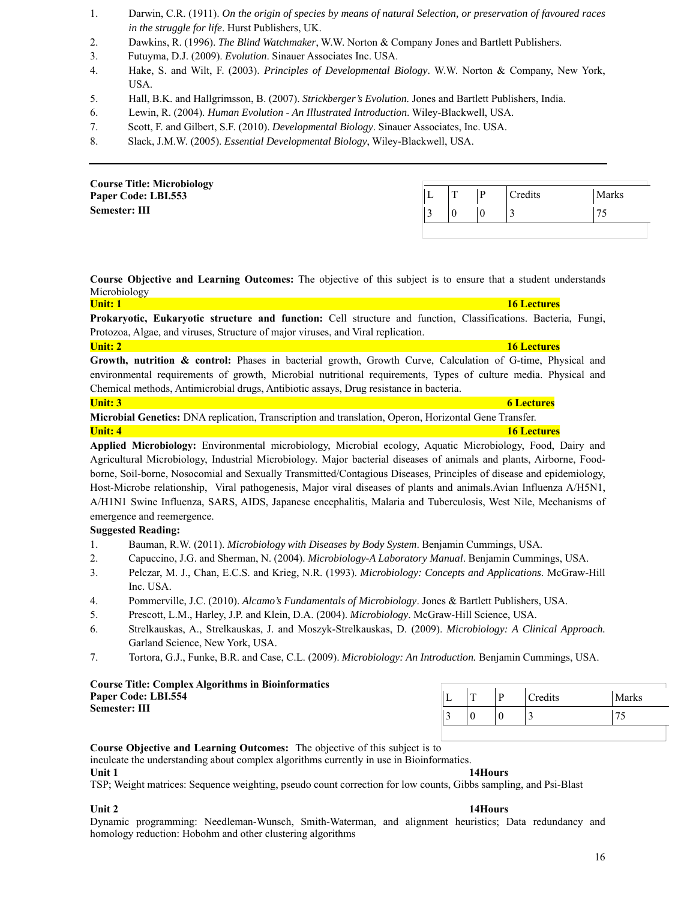- 1. Darwin, C.R. (1911). *On the origin of species by means of natural Selection, or preservation of favoured races in the struggle for life*. Hurst Publishers, UK.
- 2. Dawkins, R. (1996). *The Blind Watchmaker*, W.W. Norton & Company Jones and Bartlett Publishers.
- 3. Futuyma, D.J. (2009). *Evolution*. Sinauer Associates Inc. USA.
- 4. Hake, S. and Wilt, F. (2003). *Principles of Developmental Biology*. W.W. Norton & Company, New York, USA.
- 5. Hall, B.K. and Hallgrimsson, B. (2007). *Strickberger's Evolution.* Jones and Bartlett Publishers, India.
- 6. Lewin, R. (2004). *Human Evolution An Illustrated Introduction*. Wiley-Blackwell, USA.
- 7. Scott, F. and Gilbert, S.F. (2010). *Developmental Biology*. Sinauer Associates, Inc. USA.
- 8. Slack, J.M.W. (2005). *Essential Developmental Biology*, Wiley-Blackwell, USA.

| <b>Course Title: Microbiology</b> |          |   |   |         |              |
|-----------------------------------|----------|---|---|---------|--------------|
| Paper Code: LBI.553               | <b>L</b> | œ | D | Credits | <b>Marks</b> |
| Semester: III                     |          |   |   |         | 75           |
|                                   |          |   |   |         |              |

**Course Objective and Learning Outcomes:** The objective of this subject is to ensure that a student understands Microbiology

**Unit: 1 16 Lectures 16 Lectures 16 Lectures 16 Lectures 16 Lectures Prokaryotic, Eukaryotic structure and function:** Cell structure and function, Classifications. Bacteria, Fungi, Protozoa, Algae, and viruses, Structure of major viruses, and Viral replication.

**Unit: 2 16 Lectures 16 Lectures 16 Lectures** 

**Growth, nutrition & control:** Phases in bacterial growth, Growth Curve, Calculation of G-time, Physical and environmental requirements of growth, Microbial nutritional requirements, Types of culture media. Physical and Chemical methods, Antimicrobial drugs, Antibiotic assays, Drug resistance in bacteria.

| Unit: $3$                                                                                                    | 6 Lectures         |
|--------------------------------------------------------------------------------------------------------------|--------------------|
| <b>Microbial Genetics:</b> DNA replication, Transcription and translation, Operon, Horizontal Gene Transfer. |                    |
| <b>Unit: 4</b>                                                                                               | <b>16 Lectures</b> |

**Applied Microbiology:** Environmental microbiology, Microbial ecology, Aquatic Microbiology, Food, Dairy and Agricultural Microbiology, Industrial Microbiology. Major bacterial diseases of animals and plants, Airborne, Foodborne, Soil-borne, Nosocomial and Sexually Transmitted/Contagious Diseases, Principles of disease and epidemiology, Host-Microbe relationship, Viral pathogenesis, Major viral diseases of plants and animals.Avian Influenza A/H5N1, A/H1N1 Swine Influenza, SARS, AIDS, Japanese encephalitis, Malaria and Tuberculosis, West Nile, Mechanisms of emergence and reemergence.

### **Suggested Reading:**

- 1. Bauman, R.W. (2011). *Microbiology with Diseases by Body System*. Benjamin Cummings, USA.
- 2. Capuccino, J.G. and Sherman, N. (2004). *Microbiology-A Laboratory Manual*. Benjamin Cummings, USA.
- 3. Pelczar, M. J., Chan, E.C.S. and Krieg, N.R. (1993). *Microbiology: Concepts and Applications*. McGraw-Hill Inc. USA.
- 4. Pommerville, J.C. (2010). *Alcamo's Fundamentals of Microbiology*. Jones & Bartlett Publishers, USA.
- 5. Prescott, L.M., Harley, J.P. and Klein, D.A. (2004). *Microbiology*. McGraw-Hill Science, USA.
- 6. Strelkauskas, A., Strelkauskas, J. and Moszyk-Strelkauskas, D. (2009). *Microbiology: A Clinical Approach.* Garland Science, New York, USA.
- 7. Tortora, G.J., Funke, B.R. and Case, C.L. (2009). *Microbiology: An Introduction.* Benjamin Cummings, USA.

### **Course Title: Complex Algorithms in Bioinformatics Paper Code: LBI.554 Semester: III**

| – | D | Credits | Marks                    |
|---|---|---------|--------------------------|
|   |   | ↗<br>ت  | $\overline{\phantom{a}}$ |

**Course Objective and Learning Outcomes:** The objective of this subject is to

inculcate the understanding about complex algorithms currently in use in Bioinformatics.

**Unit 1 14Hours** 

TSP; Weight matrices: Sequence weighting, pseudo count correction for low counts, Gibbs sampling, and Psi-Blast

Dynamic programming: Needleman-Wunsch, Smith-Waterman, and alignment heuristics; Data redundancy and homology reduction: Hobohm and other clustering algorithms

### Unit 2 **14Hours 14Hours**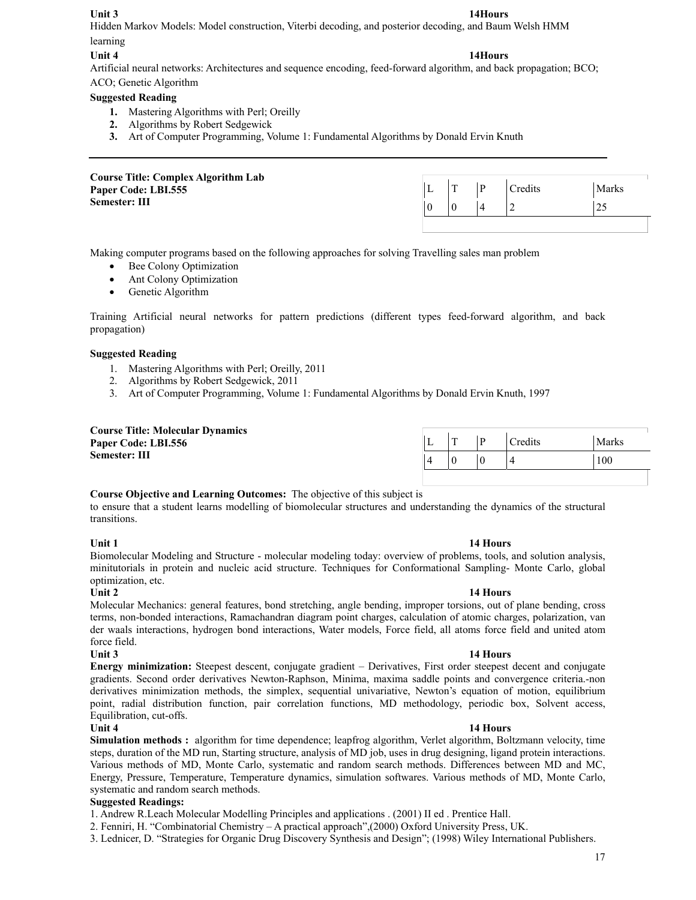Unit 3 **14Hours 12Hours** Hidden Markov Models: Model construction, Viterbi decoding, and posterior decoding, and Baum Welsh HMM learning

## Unit 4 **14Hours 12Hours**

Artificial neural networks: Architectures and sequence encoding, feed-forward algorithm, and back propagation; BCO;

ACO; Genetic Algorithm

## **Suggested Reading**

- **1.** Mastering Algorithms with Perl; Oreilly
- **2.** Algorithms by Robert Sedgewick
- **3.** Art of Computer Programming, Volume 1: Fundamental Algorithms by Donald Ervin Knuth

| <b>Course Title: Complex Algorithm Lab</b> |  |         |              |
|--------------------------------------------|--|---------|--------------|
| Paper Code: LBI.555                        |  | Credits | <b>Marks</b> |
| Semester: III                              |  |         | 25           |
|                                            |  |         |              |

Making computer programs based on the following approaches for solving Travelling sales man problem

- Bee Colony Optimization
- Ant Colony Optimization
- Genetic Algorithm

Training Artificial neural networks for pattern predictions (different types feed-forward algorithm, and back propagation)

## **Suggested Reading**

- 1. Mastering Algorithms with Perl; Oreilly, 2011
- 2. Algorithms by Robert Sedgewick, 2011
- 3. Art of Computer Programming, Volume 1: Fundamental Algorithms by Donald Ervin Knuth, 1997

| <b>Course Title: Molecular Dynamics</b> |  |                |       |
|-----------------------------------------|--|----------------|-------|
| Paper Code: LBI.556                     |  | <b>Tredits</b> | Marks |
| Semester: III                           |  |                | 100   |

## **Course Objective and Learning Outcomes:** The objective of this subject is

to ensure that a student learns modelling of biomolecular structures and understanding the dynamics of the structural transitions.

### **Unit 1 14 Hours 14 Hours**

Biomolecular Modeling and Structure - molecular modeling today: overview of problems, tools, and solution analysis, minitutorials in protein and nucleic acid structure. Techniques for Conformational Sampling- Monte Carlo, global optimization, etc.

**Unit 2** 14 Hours **14 Hours** Molecular Mechanics: general features, bond stretching, angle bending, improper torsions, out of plane bending, cross terms, non-bonded interactions, Ramachandran diagram point charges, calculation of atomic charges, polarization, van der waals interactions, hydrogen bond interactions, Water models, Force field, all atoms force field and united atom force field.

## **Unit 3** 14 Hours

**Energy minimization:** Steepest descent, conjugate gradient – Derivatives, First order steepest decent and conjugate gradients. Second order derivatives Newton-Raphson, Minima, maxima saddle points and convergence criteria.-non derivatives minimization methods, the simplex, sequential univariative, Newton's equation of motion, equilibrium point, radial distribution function, pair correlation functions, MD methodology, periodic box, Solvent access, Equilibration, cut-offs.

## **Unit 4 14 Hours**

**Simulation methods :** algorithm for time dependence; leapfrog algorithm, Verlet algorithm, Boltzmann velocity, time steps, duration of the MD run, Starting structure, analysis of MD job, uses in drug designing, ligand protein interactions. Various methods of MD, Monte Carlo, systematic and random search methods. Differences between MD and MC, Energy, Pressure, Temperature, Temperature dynamics, simulation softwares. Various methods of MD, Monte Carlo, systematic and random search methods.

## **Suggested Readings:**

1. Andrew R.Leach Molecular Modelling Principles and applications . (2001) II ed . Prentice Hall.

2. Fenniri, H. "Combinatorial Chemistry – A practical approach",(2000) Oxford University Press, UK.

3. Lednicer, D. "Strategies for Organic Drug Discovery Synthesis and Design"; (1998) Wiley International Publishers.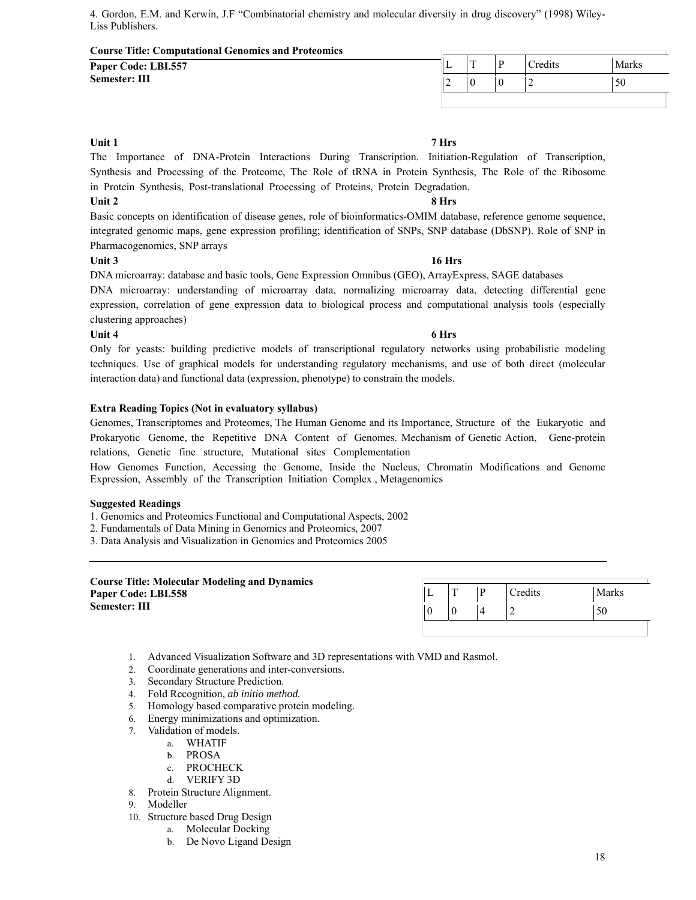4. Gordon, E.M. and Kerwin, J.F "Combinatorial chemistry and molecular diversity in drug discovery" (1998) Wiley-Liss Publishers.

### **Course Title: Computational Genomics and Proteomics**

**Paper Code: LBI.557 Semester: III** 

|        | m | D | Credits | Marks               |
|--------|---|---|---------|---------------------|
| $\sim$ |   |   | ∼<br>_  | $\sim$ $\sim$<br>υU |
|        |   |   |         |                     |

## **Unit 1 7 Hrs**

The Importance of DNA-Protein Interactions During Transcription. Initiation-Regulation of Transcription, Synthesis and Processing of the Proteome, The Role of tRNA in Protein Synthesis, The Role of the Ribosome in Protein Synthesis, Post-translational Processing of Proteins, Protein Degradation.

## Unit 2 8 Hrs

Basic concepts on identification of disease genes, role of bioinformatics-OMIM database, reference genome sequence, integrated genomic maps, gene expression profiling; identification of SNPs, SNP database (DbSNP). Role of SNP in Pharmacogenomics, SNP arrays

## **Unit 3 16 Hrs**

DNA microarray: database and basic tools, Gene Expression Omnibus (GEO), ArrayExpress, SAGE databases

DNA microarray: understanding of microarray data, normalizing microarray data, detecting differential gene expression, correlation of gene expression data to biological process and computational analysis tools (especially clustering approaches)

### Unit 4 **6 Hrs**

Only for yeasts: building predictive models of transcriptional regulatory networks using probabilistic modeling techniques. Use of graphical models for understanding regulatory mechanisms, and use of both direct (molecular interaction data) and functional data (expression, phenotype) to constrain the models.

## **Extra Reading Topics (Not in evaluatory syllabus)**

Genomes, Transcriptomes and Proteomes, The Human Genome and its Importance, Structure of the Eukaryotic and Prokaryotic Genome, the Repetitive DNA Content of Genomes. Mechanism of Genetic Action, Gene-protein relations, Genetic fine structure, Mutational sites Complementation

How Genomes Function, Accessing the Genome, Inside the Nucleus, Chromatin Modifications and Genome Expression, Assembly of the Transcription Initiation Complex , Metagenomics

### **Suggested Readings**

1. Genomics and Proteomics Functional and Computational Aspects, 2002

2. Fundamentals of Data Mining in Genomics and Proteomics, 2007

3. Data Analysis and Visualization in Genomics and Proteomics 2005

### **Course Title: Molecular Modeling and Dynamics Paper Code: LBI.558 Semester: III**

|   | n | Credits | Marks |
|---|---|---------|-------|
| υ |   |         |       |
|   |   |         |       |

- 1. Advanced Visualization Software and 3D representations with VMD and Rasmol.
- 2. Coordinate generations and inter-conversions.
- 3. Secondary Structure Prediction.
- 4. Fold Recognition, *ab initio method.*
- 5. Homology based comparative protein modeling.
- 6. Energy minimizations and optimization.
- 7. Validation of models.
	- a. WHATIF
		- b. PROSA
		- c. PROCHECK
		- d. VERIFY 3D
- 8. Protein Structure Alignment.
- 9. Modeller
- 10. Structure based Drug Design
	- a. Molecular Docking
	- b. De Novo Ligand Design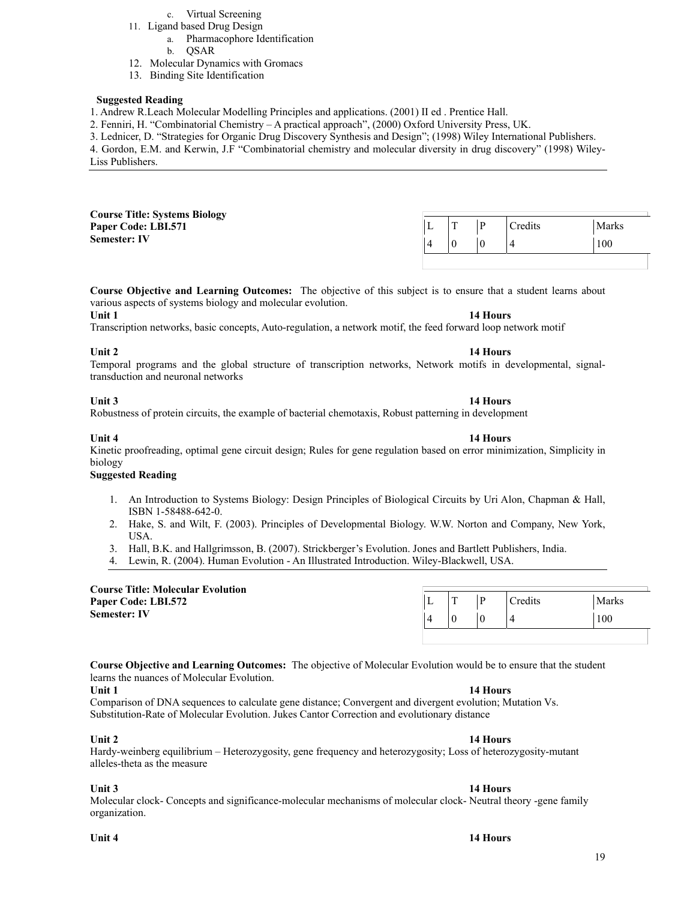- 11. Ligand based Drug Design
	- a. Pharmacophore Identification
		- b. QSAR
- 12. Molecular Dynamics with Gromacs
- 13. Binding Site Identification

### **Suggested Reading**

1. Andrew R.Leach Molecular Modelling Principles and applications. (2001) II ed . Prentice Hall.

2. Fenniri, H. "Combinatorial Chemistry – A practical approach", (2000) Oxford University Press, UK.

3. Lednicer, D. "Strategies for Organic Drug Discovery Synthesis and Design"; (1998) Wiley International Publishers.

4. Gordon, E.M. and Kerwin, J.F "Combinatorial chemistry and molecular diversity in drug discovery" (1998) Wiley-Liss Publishers.

| <b>Course Title: Systems Biology</b><br>Paper Code: LBI.571 | ∸ |  | <b>Tredits</b> | Marks |
|-------------------------------------------------------------|---|--|----------------|-------|
| <b>Semester: IV</b>                                         |   |  |                | 100   |

**Course Objective and Learning Outcomes:** The objective of this subject is to ensure that a student learns about various aspects of systems biology and molecular evolution.

### **Unit 1 14 Hours 14 Hours**

Transcription networks, basic concepts, Auto-regulation, a network motif, the feed forward loop network motif

### **Unit 2** 14 Hours **14 Hours**

Temporal programs and the global structure of transcription networks, Network motifs in developmental, signaltransduction and neuronal networks

Robustness of protein circuits, the example of bacterial chemotaxis, Robust patterning in development

Kinetic proofreading, optimal gene circuit design; Rules for gene regulation based on error minimization, Simplicity in biology

### **Suggested Reading**

- 1. An Introduction to Systems Biology: Design Principles of Biological Circuits by Uri Alon, Chapman & Hall, ISBN 1-58488-642-0.
- 2. Hake, S. and Wilt, F. (2003). Principles of Developmental Biology. W.W. Norton and Company, New York, USA.
- 3. Hall, B.K. and Hallgrimsson, B. (2007). Strickberger's Evolution. Jones and Bartlett Publishers, India.
- 4. Lewin, R. (2004). Human Evolution An Illustrated Introduction. Wiley-Blackwell, USA.

| <b>Course Title: Molecular Evolution</b><br>Paper Code: LBI.572 | ∸ |  | <sup>r</sup> redits | <b>Marks</b> |
|-----------------------------------------------------------------|---|--|---------------------|--------------|
| <b>Semester: IV</b>                                             |   |  |                     | 100          |

**Course Objective and Learning Outcomes:** The objective of Molecular Evolution would be to ensure that the student learns the nuances of Molecular Evolution.

### **Unit 1 14 Hours 14 Hours**

Comparison of DNA sequences to calculate gene distance; Convergent and divergent evolution; Mutation Vs. Substitution-Rate of Molecular Evolution. Jukes Cantor Correction and evolutionary distance

### **Unit 2** 14 Hours **14 Hours**

Hardy-weinberg equilibrium – Heterozygosity, gene frequency and heterozygosity; Loss of heterozygosity-mutant alleles-theta as the measure

### **Unit 3** 14 Hours

Molecular clock- Concepts and significance-molecular mechanisms of molecular clock- Neutral theory -gene family organization.

## **Unit 4 14 Hours**

### **Unit 3** 14 Hours

### **Unit 4 14 Hours**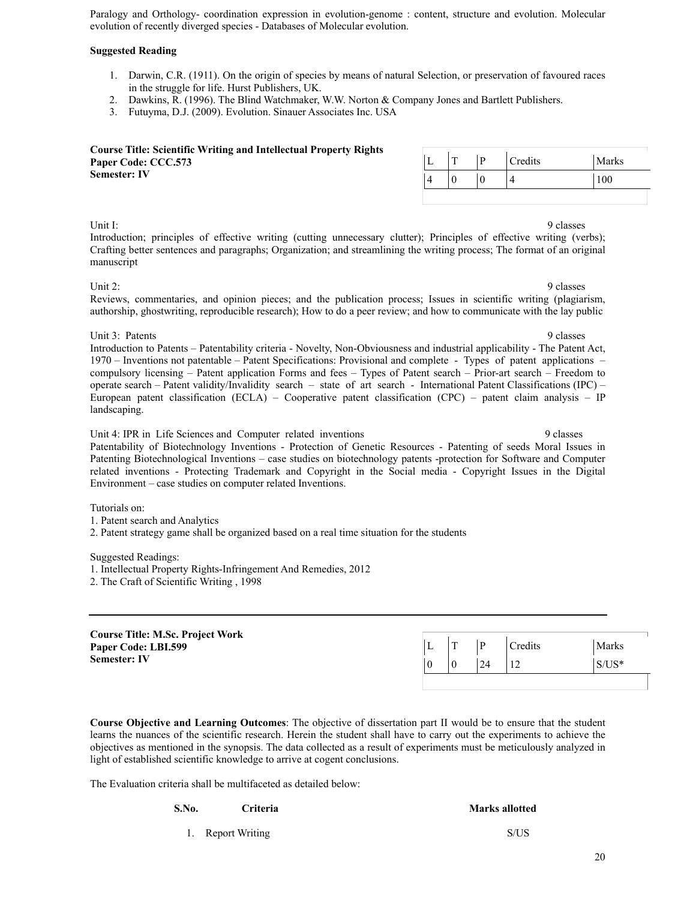Paralogy and Orthology- coordination expression in evolution-genome : content, structure and evolution. Molecular evolution of recently diverged species - Databases of Molecular evolution.

### **Suggested Reading**

- 1. Darwin, C.R. (1911). On the origin of species by means of natural Selection, or preservation of favoured races in the struggle for life. Hurst Publishers, UK.
- 2. Dawkins, R. (1996). The Blind Watchmaker, W.W. Norton & Company Jones and Bartlett Publishers.
- 3. Futuyma, D.J. (2009). Evolution. Sinauer Associates Inc. USA

**Course Title: Scientific Writing and Intellectual Property Rights Paper Code: CCC.573 Semester: IV** 

|  | <u>тг</u> | Credits | Marks |
|--|-----------|---------|-------|
|  |           |         | 100   |

Unit I: 9 classes Introduction; principles of effective writing (cutting unnecessary clutter); Principles of effective writing (verbs); Crafting better sentences and paragraphs; Organization; and streamlining the writing process; The format of an original manuscript

Unit 2: 9 classes Reviews, commentaries, and opinion pieces; and the publication process; Issues in scientific writing (plagiarism, authorship, ghostwriting, reproducible research); How to do a peer review; and how to communicate with the lay public

Unit 3: Patents 9 classes Introduction to Patents – Patentability criteria - Novelty, Non-Obviousness and industrial applicability - The Patent Act, 1970 – Inventions not patentable – Patent Specifications: Provisional and complete - Types of patent applications – compulsory licensing – Patent application Forms and fees – Types of Patent search – Prior-art search – Freedom to operate search – Patent validity/Invalidity search – state of art search - International Patent Classifications (IPC) – European patent classification (ECLA) – Cooperative patent classification (CPC) – patent claim analysis – IP landscaping.

Unit 4: IPR in Life Sciences and Computer related inventions 9 classes Patentability of Biotechnology Inventions - Protection of Genetic Resources - Patenting of seeds Moral Issues in Patenting Biotechnological Inventions – case studies on biotechnology patents -protection for Software and Computer related inventions - Protecting Trademark and Copyright in the Social media - Copyright Issues in the Digital Environment – case studies on computer related Inventions.

Tutorials on:

1. Patent search and Analytics

2. Patent strategy game shall be organized based on a real time situation for the students

Suggested Readings:

1. Intellectual Property Rights-Infringement And Remedies, 2012

2. The Craft of Scientific Writing , 1998

| <b>Course Title: M.Sc. Project Work</b> |  |  |        |    |                |          |  |  |
|-----------------------------------------|--|--|--------|----|----------------|----------|--|--|
| Paper Code: LBI.599                     |  |  | $\sim$ |    | <b>Tredits</b> | Marks    |  |  |
| <b>Semester: IV</b>                     |  |  |        | 24 |                | $S/US^*$ |  |  |
|                                         |  |  |        |    |                |          |  |  |

**Course Objective and Learning Outcomes**: The objective of dissertation part II would be to ensure that the student learns the nuances of the scientific research. Herein the student shall have to carry out the experiments to achieve the objectives as mentioned in the synopsis. The data collected as a result of experiments must be meticulously analyzed in light of established scientific knowledge to arrive at cogent conclusions.

The Evaluation criteria shall be multifaceted as detailed below:

**S.No. Criteria** Criteria **Marks allotted Marks allotted Marks** allotted 1. Report Writing S/US